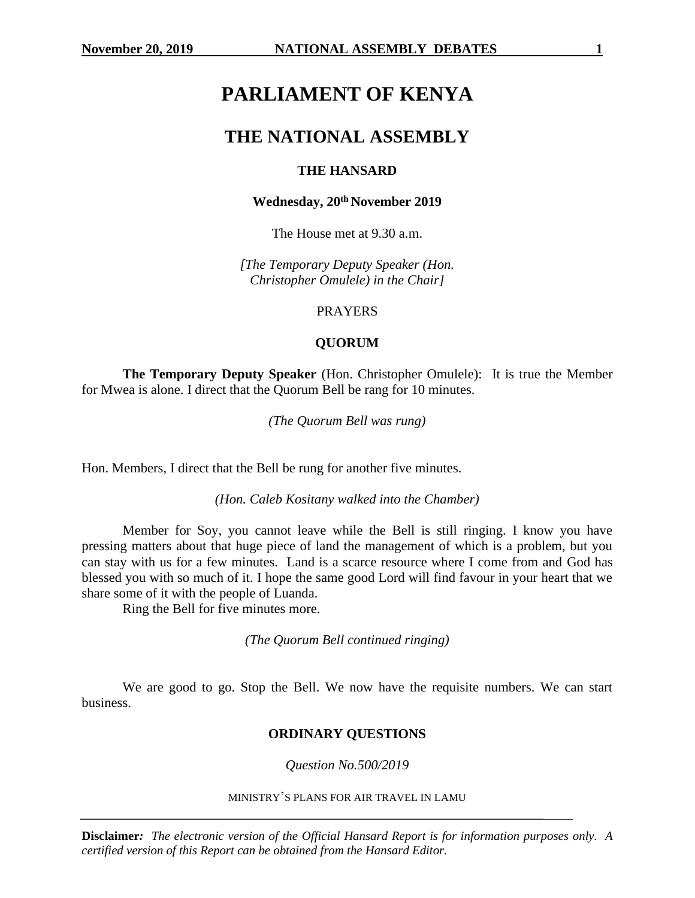# **PARLIAMENT OF KENYA**

# **THE NATIONAL ASSEMBLY**

# **THE HANSARD**

# **Wednesday, 20th November 2019**

The House met at 9.30 a.m.

*[The Temporary Deputy Speaker (Hon. Christopher Omulele) in the Chair]*

PRAYERS

# **QUORUM**

**The Temporary Deputy Speaker** (Hon. Christopher Omulele): It is true the Member for Mwea is alone. I direct that the Quorum Bell be rang for 10 minutes.

*(The Quorum Bell was rung)*

Hon. Members, I direct that the Bell be rung for another five minutes.

*(Hon. Caleb Kositany walked into the Chamber)*

Member for Soy, you cannot leave while the Bell is still ringing. I know you have pressing matters about that huge piece of land the management of which is a problem, but you can stay with us for a few minutes. Land is a scarce resource where I come from and God has blessed you with so much of it. I hope the same good Lord will find favour in your heart that we share some of it with the people of Luanda.

Ring the Bell for five minutes more.

*(The Quorum Bell continued ringing)*

We are good to go. Stop the Bell. We now have the requisite numbers. We can start business.

# **ORDINARY QUESTIONS**

*Question No.500/2019*

#### MINISTRY'S PLANS FOR AIR TRAVEL IN LAMU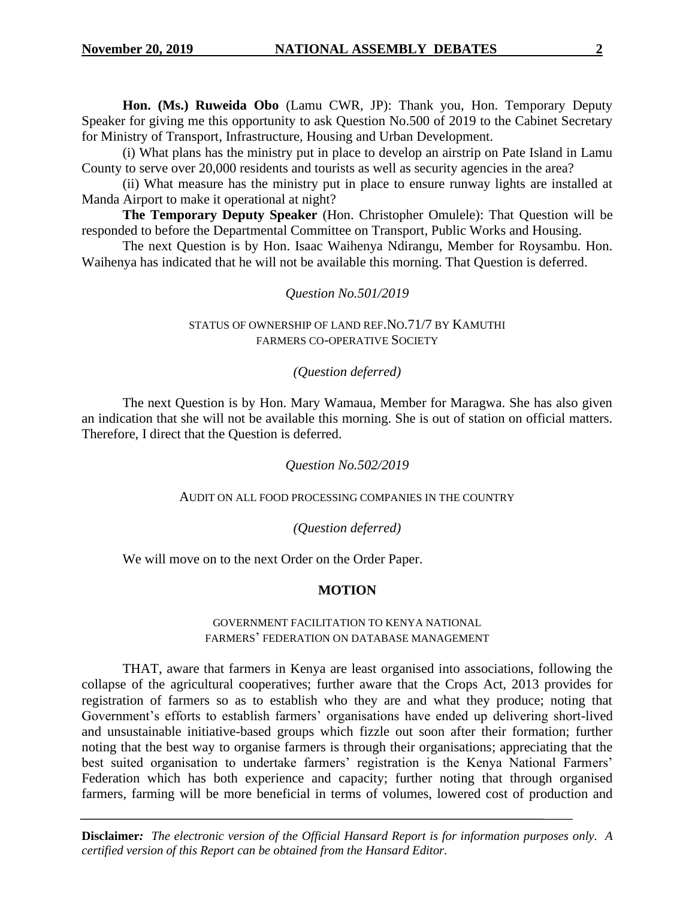**Hon. (Ms.) Ruweida Obo** (Lamu CWR, JP): Thank you, Hon. Temporary Deputy Speaker for giving me this opportunity to ask Question No.500 of 2019 to the Cabinet Secretary for Ministry of Transport, Infrastructure, Housing and Urban Development.

(i) What plans has the ministry put in place to develop an airstrip on Pate Island in Lamu County to serve over 20,000 residents and tourists as well as security agencies in the area?

(ii) What measure has the ministry put in place to ensure runway lights are installed at Manda Airport to make it operational at night?

**The Temporary Deputy Speaker** (Hon. Christopher Omulele): That Question will be responded to before the Departmental Committee on Transport, Public Works and Housing.

The next Question is by Hon. Isaac Waihenya Ndirangu, Member for Roysambu. Hon. Waihenya has indicated that he will not be available this morning. That Question is deferred.

# *Question No.501/2019*

#### STATUS OF OWNERSHIP OF LAND REF.NO.71/7 BY KAMUTHI FARMERS CO-OPERATIVE SOCIETY

# *(Question deferred)*

The next Question is by Hon. Mary Wamaua, Member for Maragwa. She has also given an indication that she will not be available this morning. She is out of station on official matters. Therefore, I direct that the Question is deferred.

# *Question No.502/2019*

#### AUDIT ON ALL FOOD PROCESSING COMPANIES IN THE COUNTRY

# *(Question deferred)*

We will move on to the next Order on the Order Paper.

# **MOTION**

#### GOVERNMENT FACILITATION TO KENYA NATIONAL FARMERS' FEDERATION ON DATABASE MANAGEMENT

THAT, aware that farmers in Kenya are least organised into associations, following the collapse of the agricultural cooperatives; further aware that the Crops Act, 2013 provides for registration of farmers so as to establish who they are and what they produce; noting that Government's efforts to establish farmers' organisations have ended up delivering short-lived and unsustainable initiative-based groups which fizzle out soon after their formation; further noting that the best way to organise farmers is through their organisations; appreciating that the best suited organisation to undertake farmers' registration is the Kenya National Farmers' Federation which has both experience and capacity; further noting that through organised farmers, farming will be more beneficial in terms of volumes, lowered cost of production and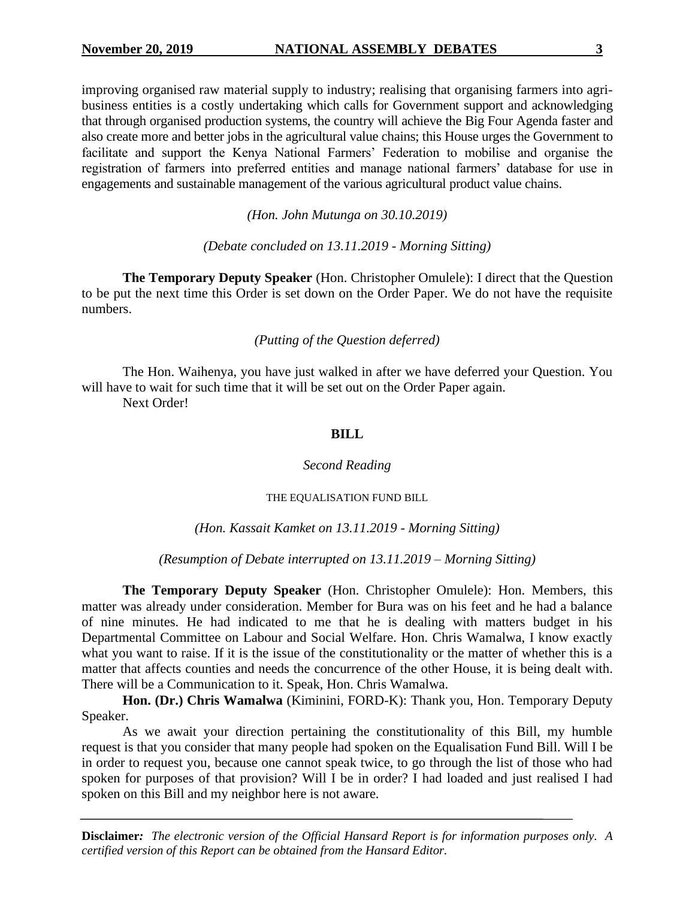improving organised raw material supply to industry; realising that organising farmers into agribusiness entities is a costly undertaking which calls for Government support and acknowledging that through organised production systems, the country will achieve the Big Four Agenda faster and also create more and better jobs in the agricultural value chains; this House urges the Government to facilitate and support the Kenya National Farmers' Federation to mobilise and organise the registration of farmers into preferred entities and manage national farmers' database for use in engagements and sustainable management of the various agricultural product value chains.

*(Hon. John Mutunga on 30.10.2019)*

*(Debate concluded on 13.11.2019 - Morning Sitting)*

**The Temporary Deputy Speaker** (Hon. Christopher Omulele): I direct that the Question to be put the next time this Order is set down on the Order Paper. We do not have the requisite numbers.

*(Putting of the Question deferred)*

The Hon. Waihenya, you have just walked in after we have deferred your Question. You will have to wait for such time that it will be set out on the Order Paper again.

Next Order!

#### **BILL**

#### *Second Reading*

#### THE EQUALISATION FUND BILL

#### *(Hon. Kassait Kamket on 13.11.2019 - Morning Sitting)*

*(Resumption of Debate interrupted on 13.11.2019 – Morning Sitting)*

**The Temporary Deputy Speaker** (Hon. Christopher Omulele): Hon. Members, this matter was already under consideration. Member for Bura was on his feet and he had a balance of nine minutes. He had indicated to me that he is dealing with matters budget in his Departmental Committee on Labour and Social Welfare. Hon. Chris Wamalwa, I know exactly what you want to raise. If it is the issue of the constitutionality or the matter of whether this is a matter that affects counties and needs the concurrence of the other House, it is being dealt with. There will be a Communication to it. Speak, Hon. Chris Wamalwa.

**Hon. (Dr.) Chris Wamalwa** (Kiminini, FORD-K): Thank you, Hon. Temporary Deputy Speaker.

As we await your direction pertaining the constitutionality of this Bill, my humble request is that you consider that many people had spoken on the Equalisation Fund Bill. Will I be in order to request you, because one cannot speak twice, to go through the list of those who had spoken for purposes of that provision? Will I be in order? I had loaded and just realised I had spoken on this Bill and my neighbor here is not aware.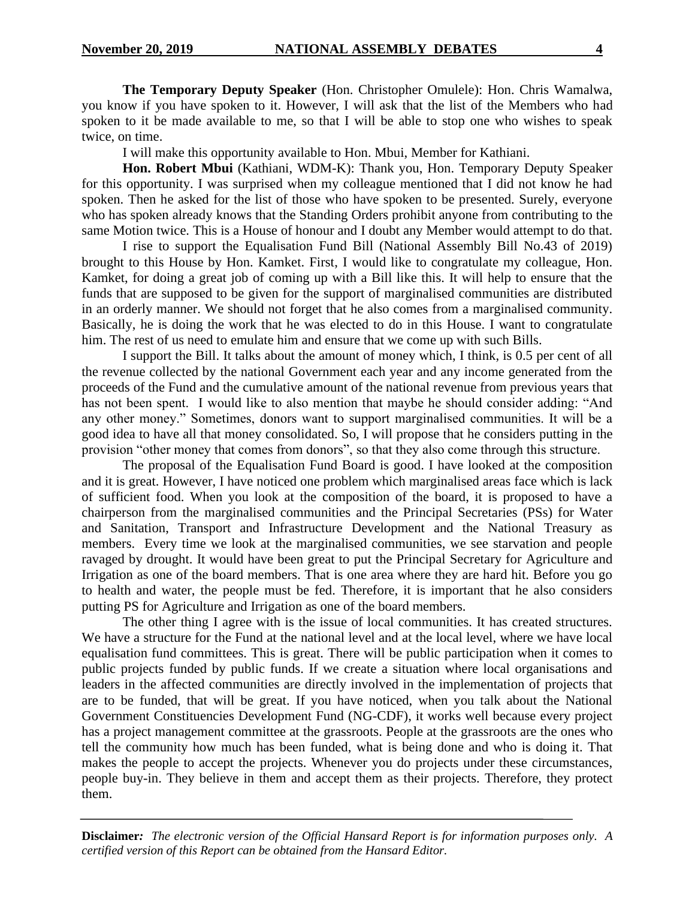**The Temporary Deputy Speaker** (Hon. Christopher Omulele): Hon. Chris Wamalwa, you know if you have spoken to it. However, I will ask that the list of the Members who had spoken to it be made available to me, so that I will be able to stop one who wishes to speak twice, on time.

I will make this opportunity available to Hon. Mbui, Member for Kathiani.

**Hon. Robert Mbui** (Kathiani, WDM-K): Thank you, Hon. Temporary Deputy Speaker for this opportunity. I was surprised when my colleague mentioned that I did not know he had spoken. Then he asked for the list of those who have spoken to be presented. Surely, everyone who has spoken already knows that the Standing Orders prohibit anyone from contributing to the same Motion twice. This is a House of honour and I doubt any Member would attempt to do that.

I rise to support the Equalisation Fund Bill (National Assembly Bill No.43 of 2019) brought to this House by Hon. Kamket. First, I would like to congratulate my colleague, Hon. Kamket, for doing a great job of coming up with a Bill like this. It will help to ensure that the funds that are supposed to be given for the support of marginalised communities are distributed in an orderly manner. We should not forget that he also comes from a marginalised community. Basically, he is doing the work that he was elected to do in this House. I want to congratulate him. The rest of us need to emulate him and ensure that we come up with such Bills.

I support the Bill. It talks about the amount of money which, I think, is 0.5 per cent of all the revenue collected by the national Government each year and any income generated from the proceeds of the Fund and the cumulative amount of the national revenue from previous years that has not been spent. I would like to also mention that maybe he should consider adding: "And any other money." Sometimes, donors want to support marginalised communities. It will be a good idea to have all that money consolidated. So, I will propose that he considers putting in the provision "other money that comes from donors", so that they also come through this structure.

The proposal of the Equalisation Fund Board is good. I have looked at the composition and it is great. However, I have noticed one problem which marginalised areas face which is lack of sufficient food. When you look at the composition of the board, it is proposed to have a chairperson from the marginalised communities and the Principal Secretaries (PSs) for Water and Sanitation, Transport and Infrastructure Development and the National Treasury as members. Every time we look at the marginalised communities, we see starvation and people ravaged by drought. It would have been great to put the Principal Secretary for Agriculture and Irrigation as one of the board members. That is one area where they are hard hit. Before you go to health and water, the people must be fed. Therefore, it is important that he also considers putting PS for Agriculture and Irrigation as one of the board members.

The other thing I agree with is the issue of local communities. It has created structures. We have a structure for the Fund at the national level and at the local level, where we have local equalisation fund committees. This is great. There will be public participation when it comes to public projects funded by public funds. If we create a situation where local organisations and leaders in the affected communities are directly involved in the implementation of projects that are to be funded, that will be great. If you have noticed, when you talk about the National Government Constituencies Development Fund (NG-CDF), it works well because every project has a project management committee at the grassroots. People at the grassroots are the ones who tell the community how much has been funded, what is being done and who is doing it. That makes the people to accept the projects. Whenever you do projects under these circumstances, people buy-in. They believe in them and accept them as their projects. Therefore, they protect them.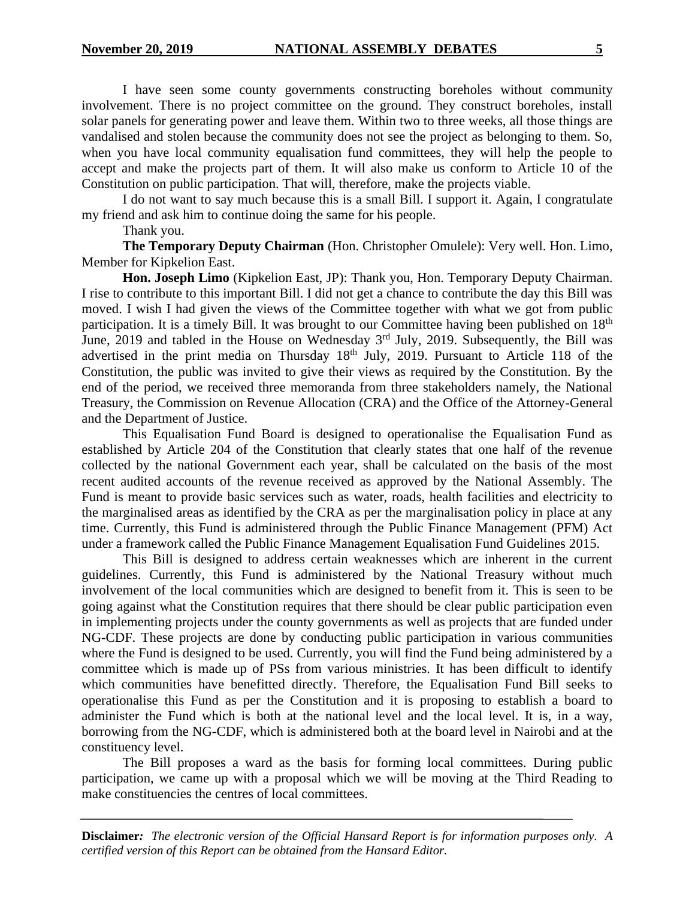I have seen some county governments constructing boreholes without community involvement. There is no project committee on the ground. They construct boreholes, install solar panels for generating power and leave them. Within two to three weeks, all those things are vandalised and stolen because the community does not see the project as belonging to them. So, when you have local community equalisation fund committees, they will help the people to accept and make the projects part of them. It will also make us conform to Article 10 of the Constitution on public participation. That will, therefore, make the projects viable.

I do not want to say much because this is a small Bill. I support it. Again, I congratulate my friend and ask him to continue doing the same for his people.

Thank you.

**The Temporary Deputy Chairman** (Hon. Christopher Omulele): Very well. Hon. Limo, Member for Kipkelion East.

**Hon. Joseph Limo** (Kipkelion East, JP): Thank you, Hon. Temporary Deputy Chairman. I rise to contribute to this important Bill. I did not get a chance to contribute the day this Bill was moved. I wish I had given the views of the Committee together with what we got from public participation. It is a timely Bill. It was brought to our Committee having been published on 18<sup>th</sup> June, 2019 and tabled in the House on Wednesday 3<sup>rd</sup> July, 2019. Subsequently, the Bill was advertised in the print media on Thursday  $18<sup>th</sup>$  July, 2019. Pursuant to Article 118 of the Constitution, the public was invited to give their views as required by the Constitution. By the end of the period, we received three memoranda from three stakeholders namely, the National Treasury, the Commission on Revenue Allocation (CRA) and the Office of the Attorney-General and the Department of Justice.

This Equalisation Fund Board is designed to operationalise the Equalisation Fund as established by Article 204 of the Constitution that clearly states that one half of the revenue collected by the national Government each year, shall be calculated on the basis of the most recent audited accounts of the revenue received as approved by the National Assembly. The Fund is meant to provide basic services such as water, roads, health facilities and electricity to the marginalised areas as identified by the CRA as per the marginalisation policy in place at any time. Currently, this Fund is administered through the Public Finance Management (PFM) Act under a framework called the Public Finance Management Equalisation Fund Guidelines 2015.

This Bill is designed to address certain weaknesses which are inherent in the current guidelines. Currently, this Fund is administered by the National Treasury without much involvement of the local communities which are designed to benefit from it. This is seen to be going against what the Constitution requires that there should be clear public participation even in implementing projects under the county governments as well as projects that are funded under NG-CDF. These projects are done by conducting public participation in various communities where the Fund is designed to be used. Currently, you will find the Fund being administered by a committee which is made up of PSs from various ministries. It has been difficult to identify which communities have benefitted directly. Therefore, the Equalisation Fund Bill seeks to operationalise this Fund as per the Constitution and it is proposing to establish a board to administer the Fund which is both at the national level and the local level. It is, in a way, borrowing from the NG-CDF, which is administered both at the board level in Nairobi and at the constituency level.

The Bill proposes a ward as the basis for forming local committees. During public participation, we came up with a proposal which we will be moving at the Third Reading to make constituencies the centres of local committees.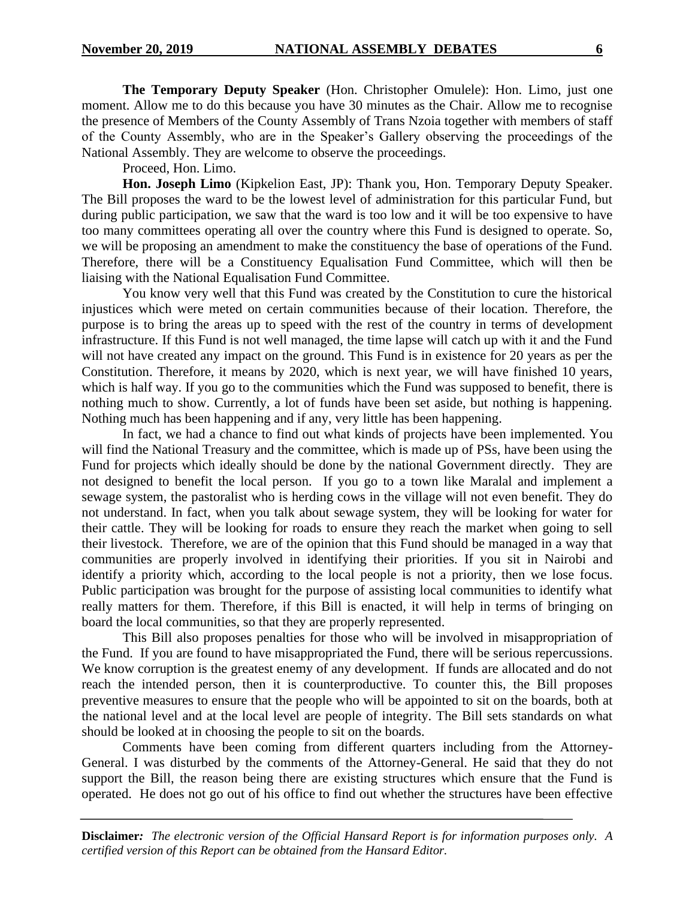**The Temporary Deputy Speaker** (Hon. Christopher Omulele): Hon. Limo, just one moment. Allow me to do this because you have 30 minutes as the Chair. Allow me to recognise the presence of Members of the County Assembly of Trans Nzoia together with members of staff of the County Assembly, who are in the Speaker's Gallery observing the proceedings of the National Assembly. They are welcome to observe the proceedings.

Proceed, Hon. Limo.

**Hon. Joseph Limo** (Kipkelion East, JP): Thank you, Hon. Temporary Deputy Speaker. The Bill proposes the ward to be the lowest level of administration for this particular Fund, but during public participation, we saw that the ward is too low and it will be too expensive to have too many committees operating all over the country where this Fund is designed to operate. So, we will be proposing an amendment to make the constituency the base of operations of the Fund. Therefore, there will be a Constituency Equalisation Fund Committee, which will then be liaising with the National Equalisation Fund Committee.

You know very well that this Fund was created by the Constitution to cure the historical injustices which were meted on certain communities because of their location. Therefore, the purpose is to bring the areas up to speed with the rest of the country in terms of development infrastructure. If this Fund is not well managed, the time lapse will catch up with it and the Fund will not have created any impact on the ground. This Fund is in existence for 20 years as per the Constitution. Therefore, it means by 2020, which is next year, we will have finished 10 years, which is half way. If you go to the communities which the Fund was supposed to benefit, there is nothing much to show. Currently, a lot of funds have been set aside, but nothing is happening. Nothing much has been happening and if any, very little has been happening.

In fact, we had a chance to find out what kinds of projects have been implemented. You will find the National Treasury and the committee, which is made up of PSs, have been using the Fund for projects which ideally should be done by the national Government directly. They are not designed to benefit the local person. If you go to a town like Maralal and implement a sewage system, the pastoralist who is herding cows in the village will not even benefit. They do not understand. In fact, when you talk about sewage system, they will be looking for water for their cattle. They will be looking for roads to ensure they reach the market when going to sell their livestock. Therefore, we are of the opinion that this Fund should be managed in a way that communities are properly involved in identifying their priorities. If you sit in Nairobi and identify a priority which, according to the local people is not a priority, then we lose focus. Public participation was brought for the purpose of assisting local communities to identify what really matters for them. Therefore, if this Bill is enacted, it will help in terms of bringing on board the local communities, so that they are properly represented.

This Bill also proposes penalties for those who will be involved in misappropriation of the Fund. If you are found to have misappropriated the Fund, there will be serious repercussions. We know corruption is the greatest enemy of any development. If funds are allocated and do not reach the intended person, then it is counterproductive. To counter this, the Bill proposes preventive measures to ensure that the people who will be appointed to sit on the boards, both at the national level and at the local level are people of integrity. The Bill sets standards on what should be looked at in choosing the people to sit on the boards.

Comments have been coming from different quarters including from the Attorney-General. I was disturbed by the comments of the Attorney-General. He said that they do not support the Bill, the reason being there are existing structures which ensure that the Fund is operated. He does not go out of his office to find out whether the structures have been effective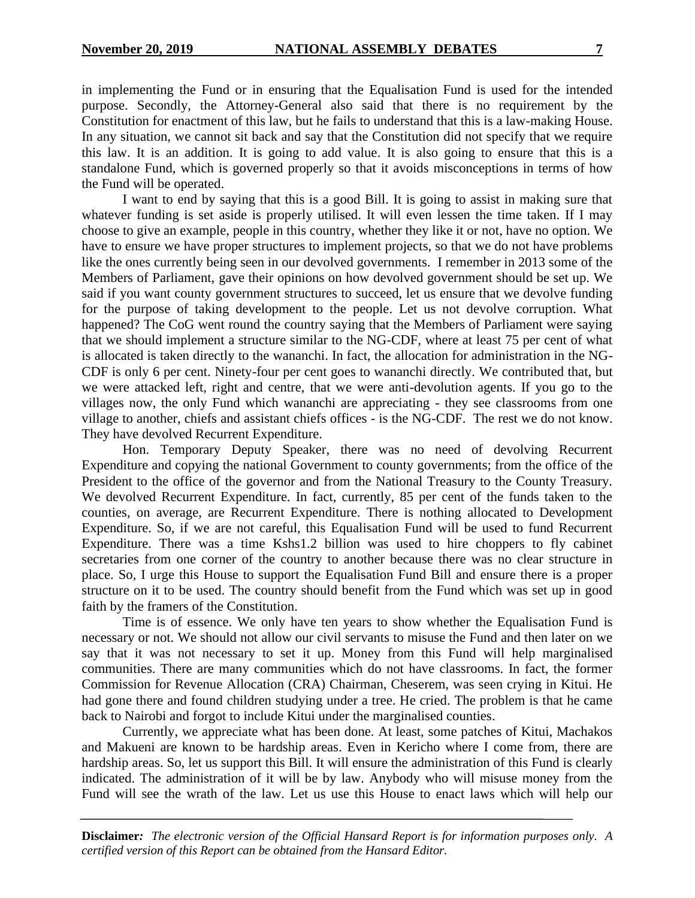in implementing the Fund or in ensuring that the Equalisation Fund is used for the intended purpose. Secondly, the Attorney-General also said that there is no requirement by the Constitution for enactment of this law, but he fails to understand that this is a law-making House. In any situation, we cannot sit back and say that the Constitution did not specify that we require this law. It is an addition. It is going to add value. It is also going to ensure that this is a standalone Fund, which is governed properly so that it avoids misconceptions in terms of how the Fund will be operated.

I want to end by saying that this is a good Bill. It is going to assist in making sure that whatever funding is set aside is properly utilised. It will even lessen the time taken. If I may choose to give an example, people in this country, whether they like it or not, have no option. We have to ensure we have proper structures to implement projects, so that we do not have problems like the ones currently being seen in our devolved governments. I remember in 2013 some of the Members of Parliament, gave their opinions on how devolved government should be set up. We said if you want county government structures to succeed, let us ensure that we devolve funding for the purpose of taking development to the people. Let us not devolve corruption. What happened? The CoG went round the country saying that the Members of Parliament were saying that we should implement a structure similar to the NG-CDF, where at least 75 per cent of what is allocated is taken directly to the wananchi. In fact, the allocation for administration in the NG-CDF is only 6 per cent. Ninety-four per cent goes to wananchi directly. We contributed that, but we were attacked left, right and centre, that we were anti-devolution agents. If you go to the villages now, the only Fund which wananchi are appreciating - they see classrooms from one village to another, chiefs and assistant chiefs offices - is the NG-CDF. The rest we do not know. They have devolved Recurrent Expenditure.

Hon. Temporary Deputy Speaker, there was no need of devolving Recurrent Expenditure and copying the national Government to county governments; from the office of the President to the office of the governor and from the National Treasury to the County Treasury. We devolved Recurrent Expenditure. In fact, currently, 85 per cent of the funds taken to the counties, on average, are Recurrent Expenditure. There is nothing allocated to Development Expenditure. So, if we are not careful, this Equalisation Fund will be used to fund Recurrent Expenditure. There was a time Kshs1.2 billion was used to hire choppers to fly cabinet secretaries from one corner of the country to another because there was no clear structure in place. So, I urge this House to support the Equalisation Fund Bill and ensure there is a proper structure on it to be used. The country should benefit from the Fund which was set up in good faith by the framers of the Constitution.

Time is of essence. We only have ten years to show whether the Equalisation Fund is necessary or not. We should not allow our civil servants to misuse the Fund and then later on we say that it was not necessary to set it up. Money from this Fund will help marginalised communities. There are many communities which do not have classrooms. In fact, the former Commission for Revenue Allocation (CRA) Chairman, Cheserem, was seen crying in Kitui. He had gone there and found children studying under a tree. He cried. The problem is that he came back to Nairobi and forgot to include Kitui under the marginalised counties.

Currently, we appreciate what has been done. At least, some patches of Kitui, Machakos and Makueni are known to be hardship areas. Even in Kericho where I come from, there are hardship areas. So, let us support this Bill. It will ensure the administration of this Fund is clearly indicated. The administration of it will be by law. Anybody who will misuse money from the Fund will see the wrath of the law. Let us use this House to enact laws which will help our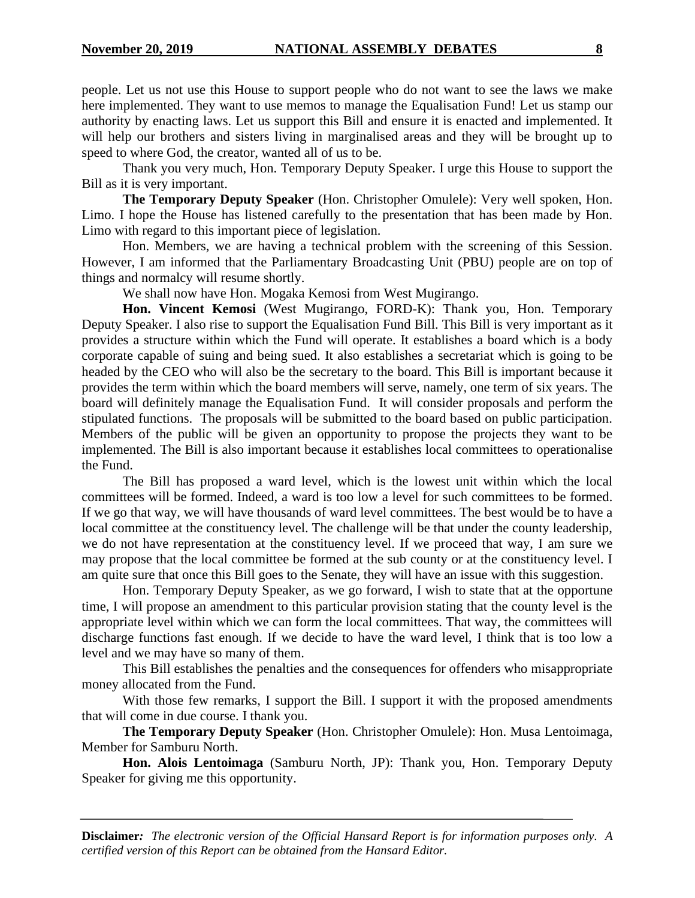people. Let us not use this House to support people who do not want to see the laws we make here implemented. They want to use memos to manage the Equalisation Fund! Let us stamp our authority by enacting laws. Let us support this Bill and ensure it is enacted and implemented. It will help our brothers and sisters living in marginalised areas and they will be brought up to speed to where God, the creator, wanted all of us to be.

Thank you very much, Hon. Temporary Deputy Speaker. I urge this House to support the Bill as it is very important.

**The Temporary Deputy Speaker** (Hon. Christopher Omulele): Very well spoken, Hon. Limo. I hope the House has listened carefully to the presentation that has been made by Hon. Limo with regard to this important piece of legislation.

Hon. Members, we are having a technical problem with the screening of this Session. However, I am informed that the Parliamentary Broadcasting Unit (PBU) people are on top of things and normalcy will resume shortly.

We shall now have Hon. Mogaka Kemosi from West Mugirango.

**Hon. Vincent Kemosi** (West Mugirango, FORD-K): Thank you, Hon. Temporary Deputy Speaker. I also rise to support the Equalisation Fund Bill. This Bill is very important as it provides a structure within which the Fund will operate. It establishes a board which is a body corporate capable of suing and being sued. It also establishes a secretariat which is going to be headed by the CEO who will also be the secretary to the board. This Bill is important because it provides the term within which the board members will serve, namely, one term of six years. The board will definitely manage the Equalisation Fund. It will consider proposals and perform the stipulated functions. The proposals will be submitted to the board based on public participation. Members of the public will be given an opportunity to propose the projects they want to be implemented. The Bill is also important because it establishes local committees to operationalise the Fund.

The Bill has proposed a ward level, which is the lowest unit within which the local committees will be formed. Indeed, a ward is too low a level for such committees to be formed. If we go that way, we will have thousands of ward level committees. The best would be to have a local committee at the constituency level. The challenge will be that under the county leadership, we do not have representation at the constituency level. If we proceed that way, I am sure we may propose that the local committee be formed at the sub county or at the constituency level. I am quite sure that once this Bill goes to the Senate, they will have an issue with this suggestion.

Hon. Temporary Deputy Speaker, as we go forward, I wish to state that at the opportune time, I will propose an amendment to this particular provision stating that the county level is the appropriate level within which we can form the local committees. That way, the committees will discharge functions fast enough. If we decide to have the ward level, I think that is too low a level and we may have so many of them.

This Bill establishes the penalties and the consequences for offenders who misappropriate money allocated from the Fund.

With those few remarks, I support the Bill. I support it with the proposed amendments that will come in due course. I thank you.

**The Temporary Deputy Speaker** (Hon. Christopher Omulele): Hon. Musa Lentoimaga, Member for Samburu North.

**Hon. Alois Lentoimaga** (Samburu North, JP): Thank you, Hon. Temporary Deputy Speaker for giving me this opportunity.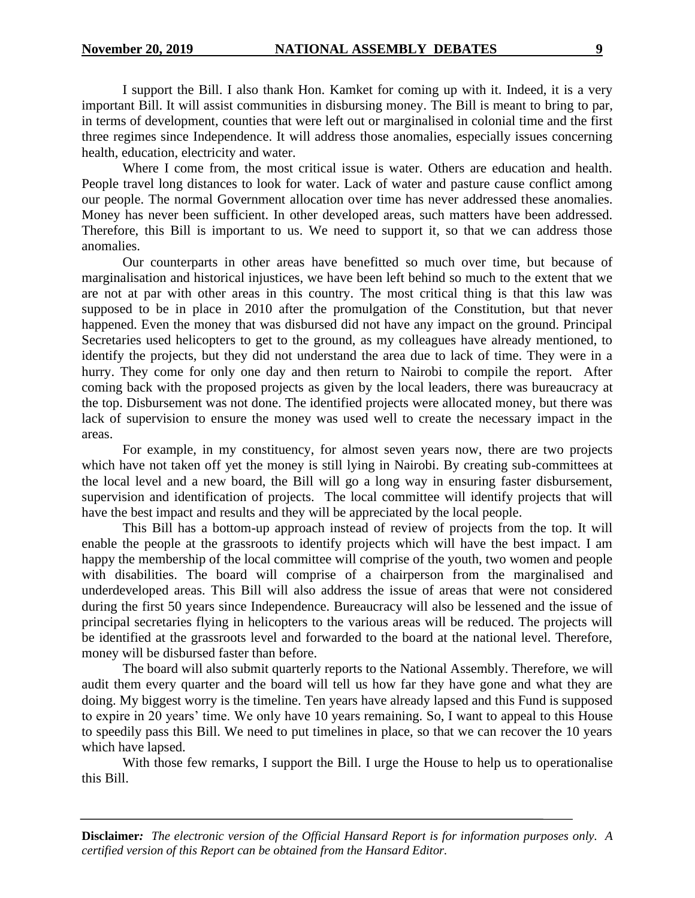I support the Bill. I also thank Hon. Kamket for coming up with it. Indeed, it is a very important Bill. It will assist communities in disbursing money. The Bill is meant to bring to par, in terms of development, counties that were left out or marginalised in colonial time and the first three regimes since Independence. It will address those anomalies, especially issues concerning health, education, electricity and water.

Where I come from, the most critical issue is water. Others are education and health. People travel long distances to look for water. Lack of water and pasture cause conflict among our people. The normal Government allocation over time has never addressed these anomalies. Money has never been sufficient. In other developed areas, such matters have been addressed. Therefore, this Bill is important to us. We need to support it, so that we can address those anomalies.

Our counterparts in other areas have benefitted so much over time, but because of marginalisation and historical injustices, we have been left behind so much to the extent that we are not at par with other areas in this country. The most critical thing is that this law was supposed to be in place in 2010 after the promulgation of the Constitution, but that never happened. Even the money that was disbursed did not have any impact on the ground. Principal Secretaries used helicopters to get to the ground, as my colleagues have already mentioned, to identify the projects, but they did not understand the area due to lack of time. They were in a hurry. They come for only one day and then return to Nairobi to compile the report. After coming back with the proposed projects as given by the local leaders, there was bureaucracy at the top. Disbursement was not done. The identified projects were allocated money, but there was lack of supervision to ensure the money was used well to create the necessary impact in the areas.

For example, in my constituency, for almost seven years now, there are two projects which have not taken off yet the money is still lying in Nairobi. By creating sub-committees at the local level and a new board, the Bill will go a long way in ensuring faster disbursement, supervision and identification of projects. The local committee will identify projects that will have the best impact and results and they will be appreciated by the local people.

This Bill has a bottom-up approach instead of review of projects from the top. It will enable the people at the grassroots to identify projects which will have the best impact. I am happy the membership of the local committee will comprise of the youth, two women and people with disabilities. The board will comprise of a chairperson from the marginalised and underdeveloped areas. This Bill will also address the issue of areas that were not considered during the first 50 years since Independence. Bureaucracy will also be lessened and the issue of principal secretaries flying in helicopters to the various areas will be reduced. The projects will be identified at the grassroots level and forwarded to the board at the national level. Therefore, money will be disbursed faster than before.

The board will also submit quarterly reports to the National Assembly. Therefore, we will audit them every quarter and the board will tell us how far they have gone and what they are doing. My biggest worry is the timeline. Ten years have already lapsed and this Fund is supposed to expire in 20 years' time. We only have 10 years remaining. So, I want to appeal to this House to speedily pass this Bill. We need to put timelines in place, so that we can recover the 10 years which have lapsed.

With those few remarks, I support the Bill. I urge the House to help us to operationalise this Bill.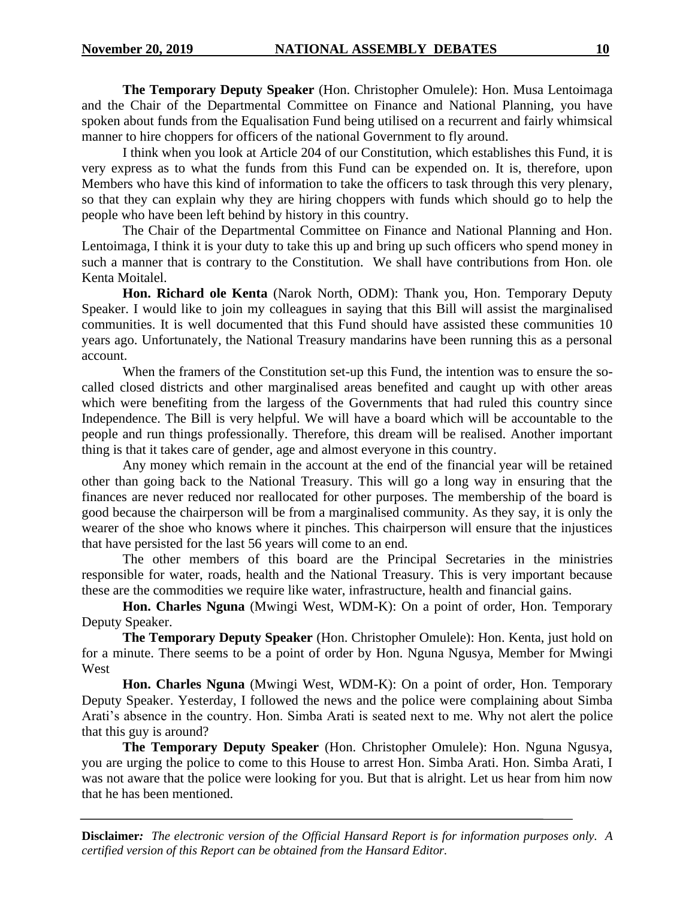**The Temporary Deputy Speaker** (Hon. Christopher Omulele): Hon. Musa Lentoimaga and the Chair of the Departmental Committee on Finance and National Planning, you have spoken about funds from the Equalisation Fund being utilised on a recurrent and fairly whimsical manner to hire choppers for officers of the national Government to fly around.

I think when you look at Article 204 of our Constitution, which establishes this Fund, it is very express as to what the funds from this Fund can be expended on. It is, therefore, upon Members who have this kind of information to take the officers to task through this very plenary, so that they can explain why they are hiring choppers with funds which should go to help the people who have been left behind by history in this country.

The Chair of the Departmental Committee on Finance and National Planning and Hon. Lentoimaga, I think it is your duty to take this up and bring up such officers who spend money in such a manner that is contrary to the Constitution. We shall have contributions from Hon. ole Kenta Moitalel.

**Hon. Richard ole Kenta** (Narok North, ODM): Thank you, Hon. Temporary Deputy Speaker. I would like to join my colleagues in saying that this Bill will assist the marginalised communities. It is well documented that this Fund should have assisted these communities 10 years ago. Unfortunately, the National Treasury mandarins have been running this as a personal account.

When the framers of the Constitution set-up this Fund, the intention was to ensure the socalled closed districts and other marginalised areas benefited and caught up with other areas which were benefiting from the largess of the Governments that had ruled this country since Independence. The Bill is very helpful. We will have a board which will be accountable to the people and run things professionally. Therefore, this dream will be realised. Another important thing is that it takes care of gender, age and almost everyone in this country.

Any money which remain in the account at the end of the financial year will be retained other than going back to the National Treasury. This will go a long way in ensuring that the finances are never reduced nor reallocated for other purposes. The membership of the board is good because the chairperson will be from a marginalised community. As they say, it is only the wearer of the shoe who knows where it pinches. This chairperson will ensure that the injustices that have persisted for the last 56 years will come to an end.

The other members of this board are the Principal Secretaries in the ministries responsible for water, roads, health and the National Treasury. This is very important because these are the commodities we require like water, infrastructure, health and financial gains.

**Hon. Charles Nguna** (Mwingi West, WDM-K): On a point of order, Hon. Temporary Deputy Speaker.

**The Temporary Deputy Speaker** (Hon. Christopher Omulele): Hon. Kenta, just hold on for a minute. There seems to be a point of order by Hon. Nguna Ngusya, Member for Mwingi West

**Hon. Charles Nguna** (Mwingi West, WDM-K): On a point of order, Hon. Temporary Deputy Speaker. Yesterday, I followed the news and the police were complaining about Simba Arati's absence in the country. Hon. Simba Arati is seated next to me. Why not alert the police that this guy is around?

**The Temporary Deputy Speaker** (Hon. Christopher Omulele): Hon. Nguna Ngusya, you are urging the police to come to this House to arrest Hon. Simba Arati. Hon. Simba Arati, I was not aware that the police were looking for you. But that is alright. Let us hear from him now that he has been mentioned.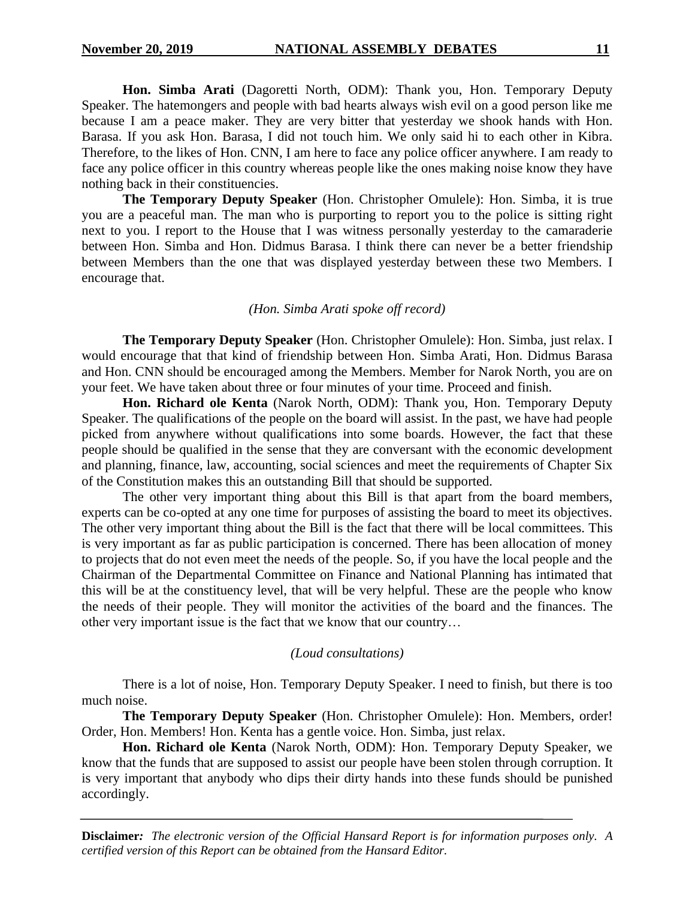**Hon. Simba Arati** (Dagoretti North, ODM): Thank you, Hon. Temporary Deputy Speaker. The hatemongers and people with bad hearts always wish evil on a good person like me because I am a peace maker. They are very bitter that yesterday we shook hands with Hon. Barasa. If you ask Hon. Barasa, I did not touch him. We only said hi to each other in Kibra. Therefore, to the likes of Hon. CNN, I am here to face any police officer anywhere. I am ready to face any police officer in this country whereas people like the ones making noise know they have nothing back in their constituencies.

**The Temporary Deputy Speaker** (Hon. Christopher Omulele): Hon. Simba, it is true you are a peaceful man. The man who is purporting to report you to the police is sitting right next to you. I report to the House that I was witness personally yesterday to the camaraderie between Hon. Simba and Hon. Didmus Barasa. I think there can never be a better friendship between Members than the one that was displayed yesterday between these two Members. I encourage that.

#### *(Hon. Simba Arati spoke off record)*

**The Temporary Deputy Speaker** (Hon. Christopher Omulele): Hon. Simba, just relax. I would encourage that that kind of friendship between Hon. Simba Arati, Hon. Didmus Barasa and Hon. CNN should be encouraged among the Members. Member for Narok North, you are on your feet. We have taken about three or four minutes of your time. Proceed and finish.

**Hon. Richard ole Kenta** (Narok North, ODM): Thank you, Hon. Temporary Deputy Speaker. The qualifications of the people on the board will assist. In the past, we have had people picked from anywhere without qualifications into some boards. However, the fact that these people should be qualified in the sense that they are conversant with the economic development and planning, finance, law, accounting, social sciences and meet the requirements of Chapter Six of the Constitution makes this an outstanding Bill that should be supported.

The other very important thing about this Bill is that apart from the board members, experts can be co-opted at any one time for purposes of assisting the board to meet its objectives. The other very important thing about the Bill is the fact that there will be local committees. This is very important as far as public participation is concerned. There has been allocation of money to projects that do not even meet the needs of the people. So, if you have the local people and the Chairman of the Departmental Committee on Finance and National Planning has intimated that this will be at the constituency level, that will be very helpful. These are the people who know the needs of their people. They will monitor the activities of the board and the finances. The other very important issue is the fact that we know that our country…

#### *(Loud consultations)*

There is a lot of noise, Hon. Temporary Deputy Speaker. I need to finish, but there is too much noise.

**The Temporary Deputy Speaker** (Hon. Christopher Omulele): Hon. Members, order! Order, Hon. Members! Hon. Kenta has a gentle voice. Hon. Simba, just relax.

**Hon. Richard ole Kenta** (Narok North, ODM): Hon. Temporary Deputy Speaker, we know that the funds that are supposed to assist our people have been stolen through corruption. It is very important that anybody who dips their dirty hands into these funds should be punished accordingly.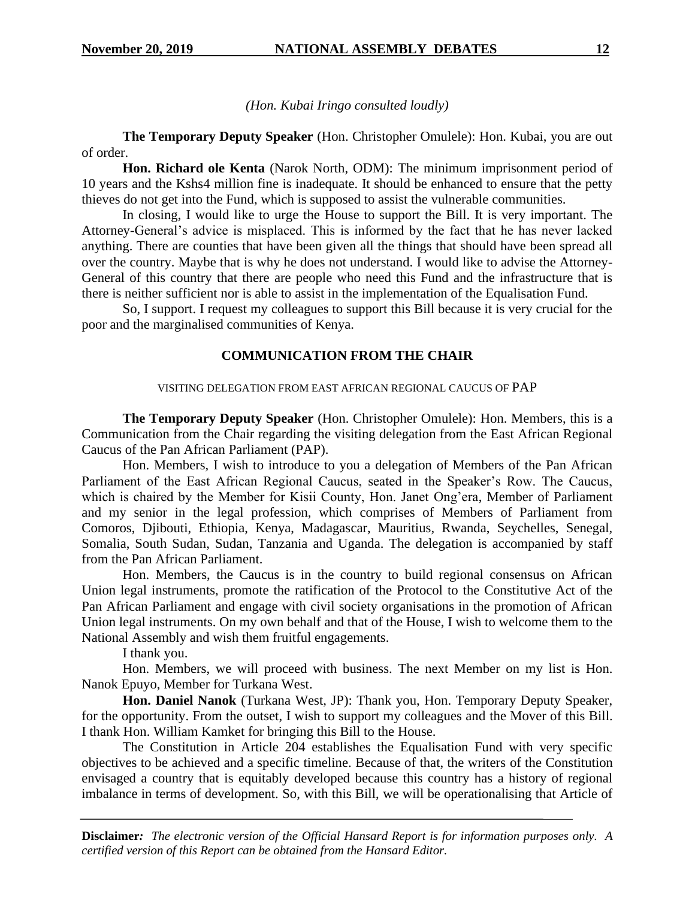*(Hon. Kubai Iringo consulted loudly)*

**The Temporary Deputy Speaker** (Hon. Christopher Omulele): Hon. Kubai, you are out of order.

**Hon. Richard ole Kenta** (Narok North, ODM): The minimum imprisonment period of 10 years and the Kshs4 million fine is inadequate. It should be enhanced to ensure that the petty thieves do not get into the Fund, which is supposed to assist the vulnerable communities.

In closing, I would like to urge the House to support the Bill. It is very important. The Attorney-General's advice is misplaced. This is informed by the fact that he has never lacked anything. There are counties that have been given all the things that should have been spread all over the country. Maybe that is why he does not understand. I would like to advise the Attorney-General of this country that there are people who need this Fund and the infrastructure that is there is neither sufficient nor is able to assist in the implementation of the Equalisation Fund.

So, I support. I request my colleagues to support this Bill because it is very crucial for the poor and the marginalised communities of Kenya.

# **COMMUNICATION FROM THE CHAIR**

#### VISITING DELEGATION FROM EAST AFRICAN REGIONAL CAUCUS OF PAP

**The Temporary Deputy Speaker** (Hon. Christopher Omulele): Hon. Members, this is a Communication from the Chair regarding the visiting delegation from the East African Regional Caucus of the Pan African Parliament (PAP).

Hon. Members, I wish to introduce to you a delegation of Members of the Pan African Parliament of the East African Regional Caucus, seated in the Speaker's Row. The Caucus, which is chaired by the Member for Kisii County, Hon. Janet Ong'era, Member of Parliament and my senior in the legal profession, which comprises of Members of Parliament from Comoros, Djibouti, Ethiopia, Kenya, Madagascar, Mauritius, Rwanda, Seychelles, Senegal, Somalia, South Sudan, Sudan, Tanzania and Uganda. The delegation is accompanied by staff from the Pan African Parliament.

Hon. Members, the Caucus is in the country to build regional consensus on African Union legal instruments, promote the ratification of the Protocol to the Constitutive Act of the Pan African Parliament and engage with civil society organisations in the promotion of African Union legal instruments. On my own behalf and that of the House, I wish to welcome them to the National Assembly and wish them fruitful engagements.

I thank you.

Hon. Members, we will proceed with business. The next Member on my list is Hon. Nanok Epuyo, Member for Turkana West.

**Hon. Daniel Nanok** (Turkana West, JP): Thank you, Hon. Temporary Deputy Speaker, for the opportunity. From the outset, I wish to support my colleagues and the Mover of this Bill. I thank Hon. William Kamket for bringing this Bill to the House.

The Constitution in Article 204 establishes the Equalisation Fund with very specific objectives to be achieved and a specific timeline. Because of that, the writers of the Constitution envisaged a country that is equitably developed because this country has a history of regional imbalance in terms of development. So, with this Bill, we will be operationalising that Article of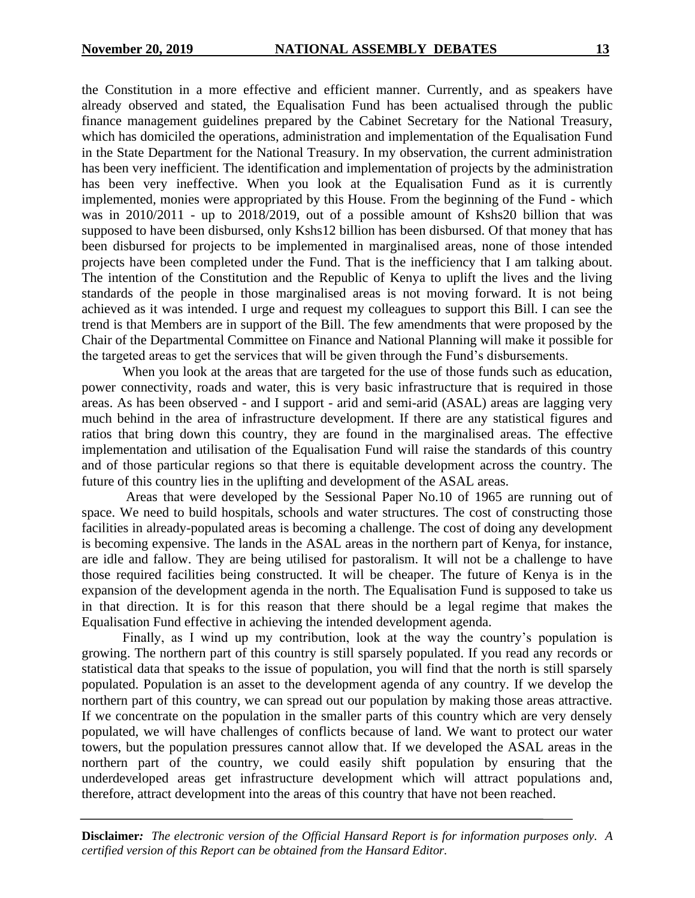the Constitution in a more effective and efficient manner. Currently, and as speakers have already observed and stated, the Equalisation Fund has been actualised through the public finance management guidelines prepared by the Cabinet Secretary for the National Treasury, which has domiciled the operations, administration and implementation of the Equalisation Fund in the State Department for the National Treasury. In my observation, the current administration has been very inefficient. The identification and implementation of projects by the administration has been very ineffective. When you look at the Equalisation Fund as it is currently implemented, monies were appropriated by this House. From the beginning of the Fund - which was in 2010/2011 - up to 2018/2019, out of a possible amount of Kshs20 billion that was supposed to have been disbursed, only Kshs12 billion has been disbursed. Of that money that has been disbursed for projects to be implemented in marginalised areas, none of those intended projects have been completed under the Fund. That is the inefficiency that I am talking about. The intention of the Constitution and the Republic of Kenya to uplift the lives and the living standards of the people in those marginalised areas is not moving forward. It is not being achieved as it was intended. I urge and request my colleagues to support this Bill. I can see the trend is that Members are in support of the Bill. The few amendments that were proposed by the Chair of the Departmental Committee on Finance and National Planning will make it possible for the targeted areas to get the services that will be given through the Fund's disbursements.

When you look at the areas that are targeted for the use of those funds such as education, power connectivity, roads and water, this is very basic infrastructure that is required in those areas. As has been observed - and I support - arid and semi-arid (ASAL) areas are lagging very much behind in the area of infrastructure development. If there are any statistical figures and ratios that bring down this country, they are found in the marginalised areas. The effective implementation and utilisation of the Equalisation Fund will raise the standards of this country and of those particular regions so that there is equitable development across the country. The future of this country lies in the uplifting and development of the ASAL areas.

Areas that were developed by the Sessional Paper No.10 of 1965 are running out of space. We need to build hospitals, schools and water structures. The cost of constructing those facilities in already-populated areas is becoming a challenge. The cost of doing any development is becoming expensive. The lands in the ASAL areas in the northern part of Kenya, for instance, are idle and fallow. They are being utilised for pastoralism. It will not be a challenge to have those required facilities being constructed. It will be cheaper. The future of Kenya is in the expansion of the development agenda in the north. The Equalisation Fund is supposed to take us in that direction. It is for this reason that there should be a legal regime that makes the Equalisation Fund effective in achieving the intended development agenda.

Finally, as I wind up my contribution, look at the way the country's population is growing. The northern part of this country is still sparsely populated. If you read any records or statistical data that speaks to the issue of population, you will find that the north is still sparsely populated. Population is an asset to the development agenda of any country. If we develop the northern part of this country, we can spread out our population by making those areas attractive. If we concentrate on the population in the smaller parts of this country which are very densely populated, we will have challenges of conflicts because of land. We want to protect our water towers, but the population pressures cannot allow that. If we developed the ASAL areas in the northern part of the country, we could easily shift population by ensuring that the underdeveloped areas get infrastructure development which will attract populations and, therefore, attract development into the areas of this country that have not been reached.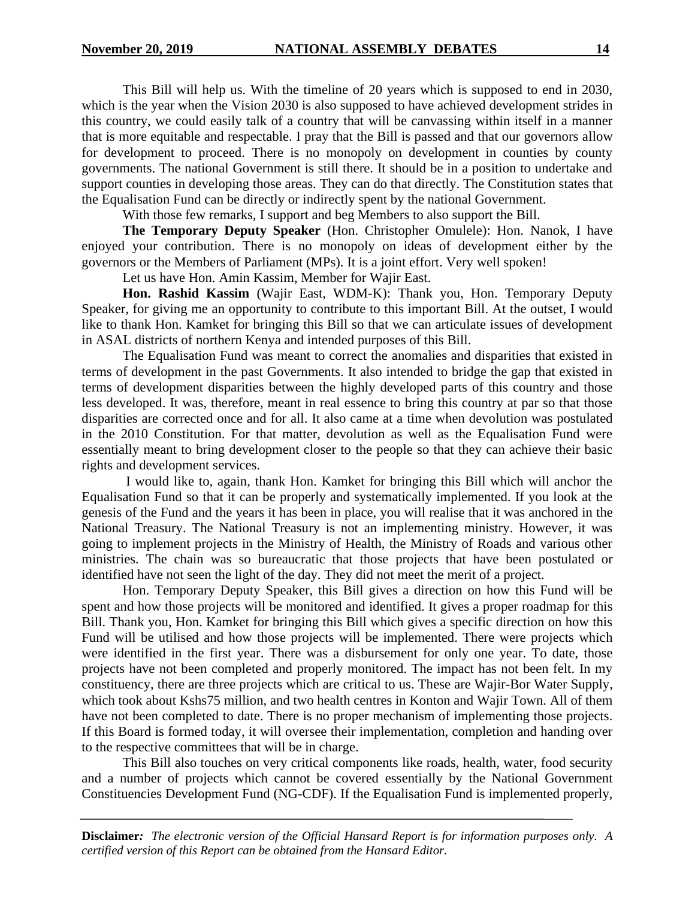This Bill will help us. With the timeline of 20 years which is supposed to end in 2030, which is the year when the Vision 2030 is also supposed to have achieved development strides in this country, we could easily talk of a country that will be canvassing within itself in a manner that is more equitable and respectable. I pray that the Bill is passed and that our governors allow for development to proceed. There is no monopoly on development in counties by county governments. The national Government is still there. It should be in a position to undertake and support counties in developing those areas. They can do that directly. The Constitution states that the Equalisation Fund can be directly or indirectly spent by the national Government.

With those few remarks, I support and beg Members to also support the Bill.

**The Temporary Deputy Speaker** (Hon. Christopher Omulele): Hon. Nanok, I have enjoyed your contribution. There is no monopoly on ideas of development either by the governors or the Members of Parliament (MPs). It is a joint effort. Very well spoken!

Let us have Hon. Amin Kassim, Member for Wajir East.

**Hon. Rashid Kassim** (Wajir East, WDM-K): Thank you, Hon. Temporary Deputy Speaker, for giving me an opportunity to contribute to this important Bill. At the outset, I would like to thank Hon. Kamket for bringing this Bill so that we can articulate issues of development in ASAL districts of northern Kenya and intended purposes of this Bill.

The Equalisation Fund was meant to correct the anomalies and disparities that existed in terms of development in the past Governments. It also intended to bridge the gap that existed in terms of development disparities between the highly developed parts of this country and those less developed. It was, therefore, meant in real essence to bring this country at par so that those disparities are corrected once and for all. It also came at a time when devolution was postulated in the 2010 Constitution. For that matter, devolution as well as the Equalisation Fund were essentially meant to bring development closer to the people so that they can achieve their basic rights and development services.

I would like to, again, thank Hon. Kamket for bringing this Bill which will anchor the Equalisation Fund so that it can be properly and systematically implemented. If you look at the genesis of the Fund and the years it has been in place, you will realise that it was anchored in the National Treasury. The National Treasury is not an implementing ministry. However, it was going to implement projects in the Ministry of Health, the Ministry of Roads and various other ministries. The chain was so bureaucratic that those projects that have been postulated or identified have not seen the light of the day. They did not meet the merit of a project.

Hon. Temporary Deputy Speaker, this Bill gives a direction on how this Fund will be spent and how those projects will be monitored and identified. It gives a proper roadmap for this Bill. Thank you, Hon. Kamket for bringing this Bill which gives a specific direction on how this Fund will be utilised and how those projects will be implemented. There were projects which were identified in the first year. There was a disbursement for only one year. To date, those projects have not been completed and properly monitored. The impact has not been felt. In my constituency, there are three projects which are critical to us. These are Wajir-Bor Water Supply, which took about Kshs75 million, and two health centres in Konton and Wajir Town. All of them have not been completed to date. There is no proper mechanism of implementing those projects. If this Board is formed today, it will oversee their implementation, completion and handing over to the respective committees that will be in charge.

This Bill also touches on very critical components like roads, health, water, food security and a number of projects which cannot be covered essentially by the National Government Constituencies Development Fund (NG-CDF). If the Equalisation Fund is implemented properly,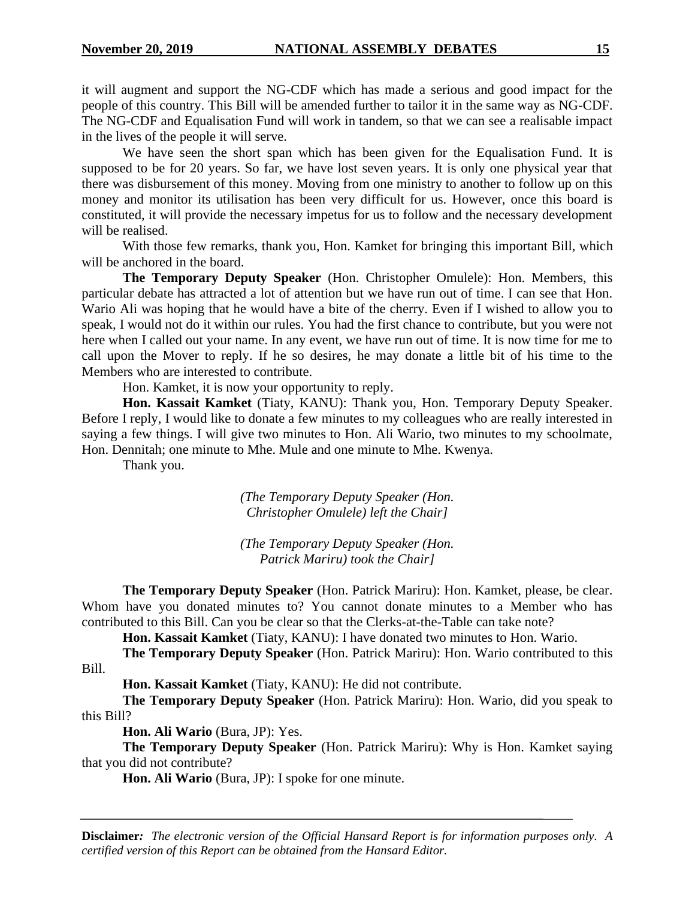it will augment and support the NG-CDF which has made a serious and good impact for the people of this country. This Bill will be amended further to tailor it in the same way as NG-CDF. The NG-CDF and Equalisation Fund will work in tandem, so that we can see a realisable impact in the lives of the people it will serve.

We have seen the short span which has been given for the Equalisation Fund. It is supposed to be for 20 years. So far, we have lost seven years. It is only one physical year that there was disbursement of this money. Moving from one ministry to another to follow up on this money and monitor its utilisation has been very difficult for us. However, once this board is constituted, it will provide the necessary impetus for us to follow and the necessary development will be realised.

With those few remarks, thank you, Hon. Kamket for bringing this important Bill, which will be anchored in the board.

**The Temporary Deputy Speaker** (Hon. Christopher Omulele): Hon. Members, this particular debate has attracted a lot of attention but we have run out of time. I can see that Hon. Wario Ali was hoping that he would have a bite of the cherry. Even if I wished to allow you to speak, I would not do it within our rules. You had the first chance to contribute, but you were not here when I called out your name. In any event, we have run out of time. It is now time for me to call upon the Mover to reply. If he so desires, he may donate a little bit of his time to the Members who are interested to contribute.

Hon. Kamket, it is now your opportunity to reply.

**Hon. Kassait Kamket** (Tiaty, KANU): Thank you, Hon. Temporary Deputy Speaker. Before I reply, I would like to donate a few minutes to my colleagues who are really interested in saying a few things. I will give two minutes to Hon. Ali Wario, two minutes to my schoolmate, Hon. Dennitah; one minute to Mhe. Mule and one minute to Mhe. Kwenya.

Thank you.

*(The Temporary Deputy Speaker (Hon. Christopher Omulele) left the Chair]*

*(The Temporary Deputy Speaker (Hon. Patrick Mariru) took the Chair]*

**The Temporary Deputy Speaker** (Hon. Patrick Mariru): Hon. Kamket, please, be clear. Whom have you donated minutes to? You cannot donate minutes to a Member who has contributed to this Bill. Can you be clear so that the Clerks-at-the-Table can take note?

**Hon. Kassait Kamket** (Tiaty, KANU): I have donated two minutes to Hon. Wario.

**The Temporary Deputy Speaker** (Hon. Patrick Mariru): Hon. Wario contributed to this Bill.

**Hon. Kassait Kamket** (Tiaty, KANU): He did not contribute.

**The Temporary Deputy Speaker** (Hon. Patrick Mariru): Hon. Wario, did you speak to this Bill?

**Hon. Ali Wario** (Bura, JP): Yes.

**The Temporary Deputy Speaker** (Hon. Patrick Mariru): Why is Hon. Kamket saying that you did not contribute?

**Hon. Ali Wario** (Bura, JP): I spoke for one minute.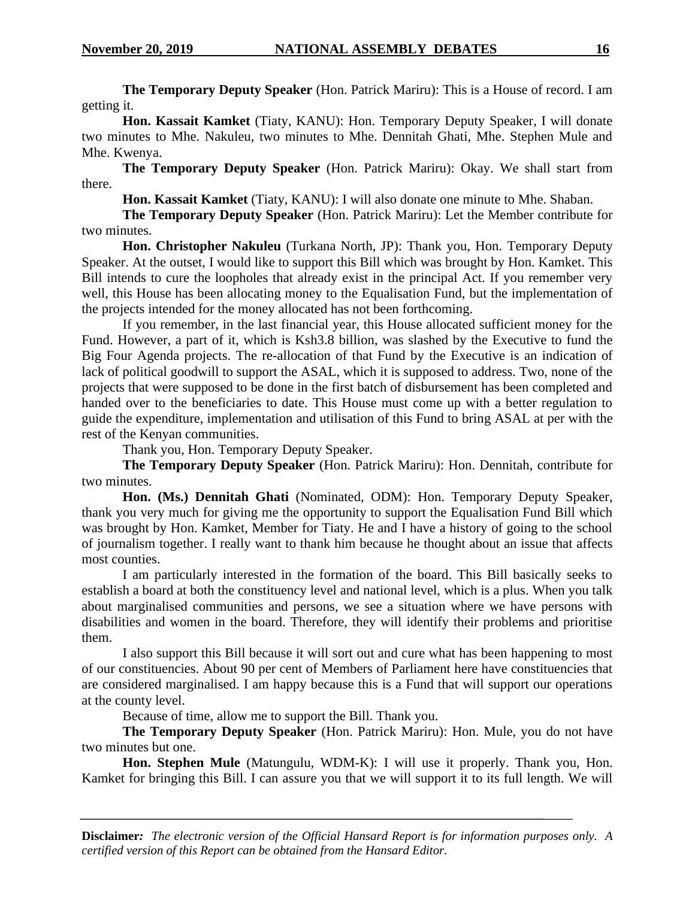**The Temporary Deputy Speaker** (Hon. Patrick Mariru): This is a House of record. I am getting it.

**Hon. Kassait Kamket** (Tiaty, KANU): Hon. Temporary Deputy Speaker, I will donate two minutes to Mhe. Nakuleu, two minutes to Mhe. Dennitah Ghati, Mhe. Stephen Mule and Mhe. Kwenya.

**The Temporary Deputy Speaker** (Hon. Patrick Mariru): Okay. We shall start from there.

**Hon. Kassait Kamket** (Tiaty, KANU): I will also donate one minute to Mhe. Shaban.

**The Temporary Deputy Speaker** (Hon. Patrick Mariru): Let the Member contribute for two minutes.

**Hon. Christopher Nakuleu** (Turkana North, JP): Thank you, Hon. Temporary Deputy Speaker. At the outset, I would like to support this Bill which was brought by Hon. Kamket. This Bill intends to cure the loopholes that already exist in the principal Act. If you remember very well, this House has been allocating money to the Equalisation Fund, but the implementation of the projects intended for the money allocated has not been forthcoming.

If you remember, in the last financial year, this House allocated sufficient money for the Fund. However, a part of it, which is Ksh3.8 billion, was slashed by the Executive to fund the Big Four Agenda projects. The re-allocation of that Fund by the Executive is an indication of lack of political goodwill to support the ASAL, which it is supposed to address. Two, none of the projects that were supposed to be done in the first batch of disbursement has been completed and handed over to the beneficiaries to date. This House must come up with a better regulation to guide the expenditure, implementation and utilisation of this Fund to bring ASAL at per with the rest of the Kenyan communities.

Thank you, Hon. Temporary Deputy Speaker.

**The Temporary Deputy Speaker** (Hon. Patrick Mariru): Hon. Dennitah, contribute for two minutes.

**Hon. (Ms.) Dennitah Ghati** (Nominated, ODM): Hon. Temporary Deputy Speaker, thank you very much for giving me the opportunity to support the Equalisation Fund Bill which was brought by Hon. Kamket, Member for Tiaty. He and I have a history of going to the school of journalism together. I really want to thank him because he thought about an issue that affects most counties.

I am particularly interested in the formation of the board. This Bill basically seeks to establish a board at both the constituency level and national level, which is a plus. When you talk about marginalised communities and persons, we see a situation where we have persons with disabilities and women in the board. Therefore, they will identify their problems and prioritise them.

I also support this Bill because it will sort out and cure what has been happening to most of our constituencies. About 90 per cent of Members of Parliament here have constituencies that are considered marginalised. I am happy because this is a Fund that will support our operations at the county level.

Because of time, allow me to support the Bill. Thank you.

**The Temporary Deputy Speaker** (Hon. Patrick Mariru): Hon. Mule, you do not have two minutes but one.

**Hon. Stephen Mule** (Matungulu, WDM-K): I will use it properly. Thank you, Hon. Kamket for bringing this Bill. I can assure you that we will support it to its full length. We will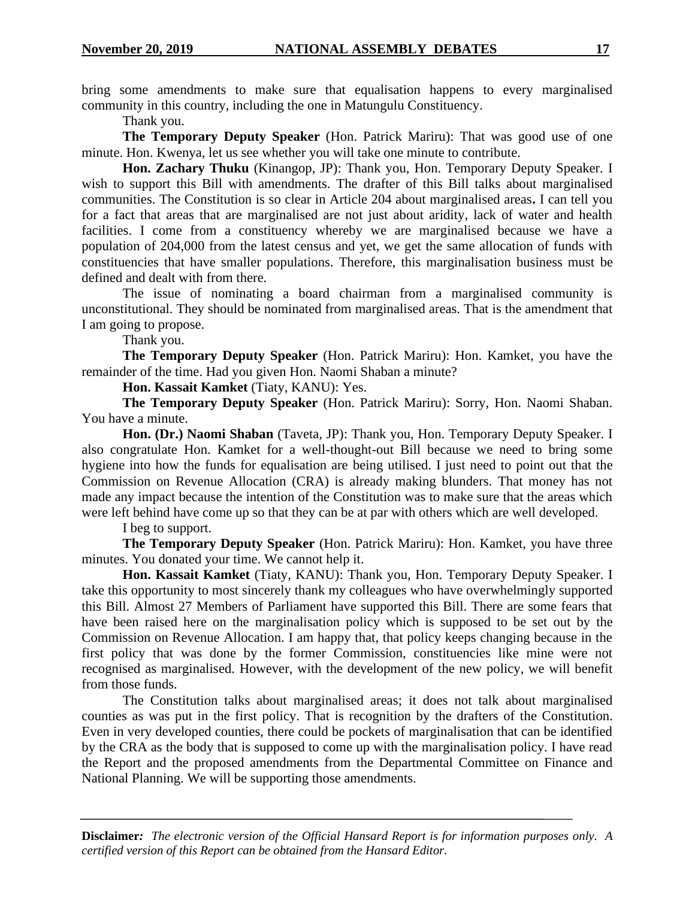bring some amendments to make sure that equalisation happens to every marginalised community in this country, including the one in Matungulu Constituency.

Thank you.

**The Temporary Deputy Speaker** (Hon. Patrick Mariru): That was good use of one minute. Hon. Kwenya, let us see whether you will take one minute to contribute.

**Hon. Zachary Thuku** (Kinangop, JP): Thank you, Hon. Temporary Deputy Speaker. I wish to support this Bill with amendments. The drafter of this Bill talks about marginalised communities. The Constitution is so clear in Article 204 about marginalised areas**.** I can tell you for a fact that areas that are marginalised are not just about aridity, lack of water and health facilities. I come from a constituency whereby we are marginalised because we have a population of 204,000 from the latest census and yet, we get the same allocation of funds with constituencies that have smaller populations. Therefore, this marginalisation business must be defined and dealt with from there.

The issue of nominating a board chairman from a marginalised community is unconstitutional. They should be nominated from marginalised areas. That is the amendment that I am going to propose.

Thank you.

**The Temporary Deputy Speaker** (Hon. Patrick Mariru): Hon. Kamket, you have the remainder of the time. Had you given Hon. Naomi Shaban a minute?

**Hon. Kassait Kamket** (Tiaty, KANU): Yes.

**The Temporary Deputy Speaker** (Hon. Patrick Mariru): Sorry, Hon. Naomi Shaban. You have a minute.

**Hon. (Dr.) Naomi Shaban** (Taveta, JP): Thank you, Hon. Temporary Deputy Speaker. I also congratulate Hon. Kamket for a well-thought-out Bill because we need to bring some hygiene into how the funds for equalisation are being utilised. I just need to point out that the Commission on Revenue Allocation (CRA) is already making blunders. That money has not made any impact because the intention of the Constitution was to make sure that the areas which were left behind have come up so that they can be at par with others which are well developed.

I beg to support.

**The Temporary Deputy Speaker** (Hon. Patrick Mariru): Hon. Kamket, you have three minutes. You donated your time. We cannot help it.

**Hon. Kassait Kamket** (Tiaty, KANU): Thank you, Hon. Temporary Deputy Speaker. I take this opportunity to most sincerely thank my colleagues who have overwhelmingly supported this Bill. Almost 27 Members of Parliament have supported this Bill. There are some fears that have been raised here on the marginalisation policy which is supposed to be set out by the Commission on Revenue Allocation. I am happy that, that policy keeps changing because in the first policy that was done by the former Commission, constituencies like mine were not recognised as marginalised. However, with the development of the new policy, we will benefit from those funds.

The Constitution talks about marginalised areas; it does not talk about marginalised counties as was put in the first policy. That is recognition by the drafters of the Constitution. Even in very developed counties, there could be pockets of marginalisation that can be identified by the CRA as the body that is supposed to come up with the marginalisation policy. I have read the Report and the proposed amendments from the Departmental Committee on Finance and National Planning. We will be supporting those amendments.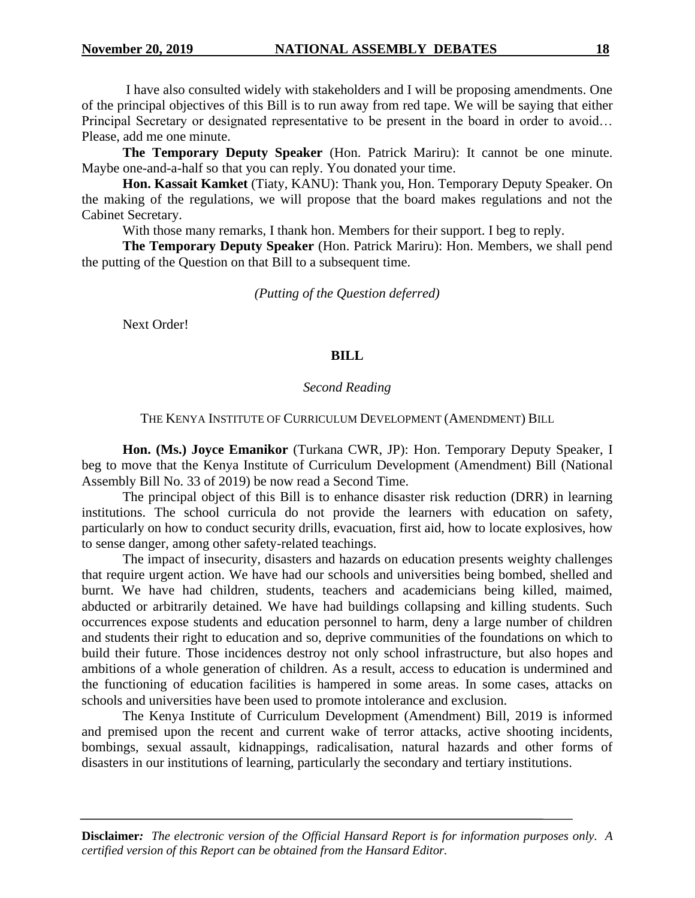I have also consulted widely with stakeholders and I will be proposing amendments. One of the principal objectives of this Bill is to run away from red tape. We will be saying that either Principal Secretary or designated representative to be present in the board in order to avoid… Please, add me one minute.

**The Temporary Deputy Speaker** (Hon. Patrick Mariru): It cannot be one minute. Maybe one-and-a-half so that you can reply. You donated your time.

**Hon. Kassait Kamket** (Tiaty, KANU): Thank you, Hon. Temporary Deputy Speaker. On the making of the regulations, we will propose that the board makes regulations and not the Cabinet Secretary.

With those many remarks, I thank hon. Members for their support. I beg to reply.

**The Temporary Deputy Speaker** (Hon. Patrick Mariru): Hon. Members, we shall pend the putting of the Question on that Bill to a subsequent time.

#### *(Putting of the Question deferred)*

Next Order!

#### **BILL**

#### *Second Reading*

#### THE KENYA INSTITUTE OF CURRICULUM DEVELOPMENT (AMENDMENT) BILL

**Hon. (Ms.) Joyce Emanikor** (Turkana CWR, JP): Hon. Temporary Deputy Speaker, I beg to move that the Kenya Institute of Curriculum Development (Amendment) Bill (National Assembly Bill No. 33 of 2019) be now read a Second Time.

The principal object of this Bill is to enhance disaster risk reduction (DRR) in learning institutions. The school curricula do not provide the learners with education on safety, particularly on how to conduct security drills, evacuation, first aid, how to locate explosives, how to sense danger, among other safety-related teachings.

The impact of insecurity, disasters and hazards on education presents weighty challenges that require urgent action. We have had our schools and universities being bombed, shelled and burnt. We have had children, students, teachers and academicians being killed, maimed, abducted or arbitrarily detained. We have had buildings collapsing and killing students. Such occurrences expose students and education personnel to harm, deny a large number of children and students their right to education and so, deprive communities of the foundations on which to build their future. Those incidences destroy not only school infrastructure, but also hopes and ambitions of a whole generation of children. As a result, access to education is undermined and the functioning of education facilities is hampered in some areas. In some cases, attacks on schools and universities have been used to promote intolerance and exclusion.

The Kenya Institute of Curriculum Development (Amendment) Bill, 2019 is informed and premised upon the recent and current wake of terror attacks, active shooting incidents, bombings, sexual assault, kidnappings, radicalisation, natural hazards and other forms of disasters in our institutions of learning, particularly the secondary and tertiary institutions.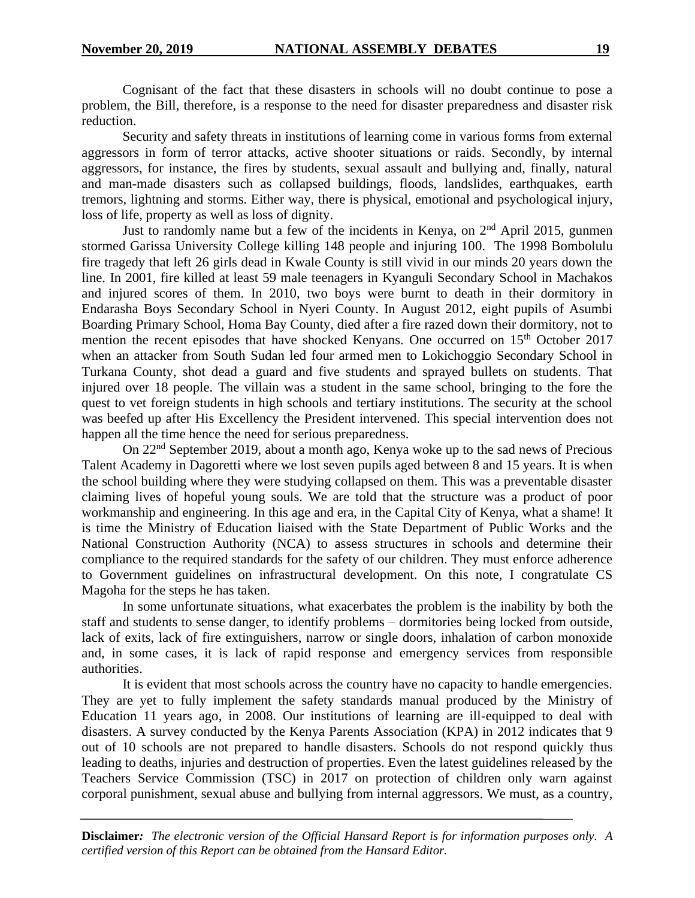Cognisant of the fact that these disasters in schools will no doubt continue to pose a problem, the Bill, therefore, is a response to the need for disaster preparedness and disaster risk reduction.

Security and safety threats in institutions of learning come in various forms from external aggressors in form of terror attacks, active shooter situations or raids. Secondly, by internal aggressors, for instance, the fires by students, sexual assault and bullying and, finally, natural and man-made disasters such as collapsed buildings, floods, landslides, earthquakes, earth tremors, lightning and storms. Either way, there is physical, emotional and psychological injury, loss of life, property as well as loss of dignity.

Just to randomly name but a few of the incidents in Kenya, on 2<sup>nd</sup> April 2015, gunmen stormed Garissa University College killing 148 people and injuring 100. The 1998 Bombolulu fire tragedy that left 26 girls dead in Kwale County is still vivid in our minds 20 years down the line. In 2001, fire killed at least 59 male teenagers in Kyanguli Secondary School in Machakos and injured scores of them. In 2010, two boys were burnt to death in their dormitory in Endarasha Boys Secondary School in Nyeri County. In August 2012, eight pupils of Asumbi Boarding Primary School, Homa Bay County, died after a fire razed down their dormitory, not to mention the recent episodes that have shocked Kenyans. One occurred on 15<sup>th</sup> October 2017 when an attacker from South Sudan led four armed men to Lokichoggio Secondary School in Turkana County, shot dead a guard and five students and sprayed bullets on students. That injured over 18 people. The villain was a student in the same school, bringing to the fore the quest to vet foreign students in high schools and tertiary institutions. The security at the school was beefed up after His Excellency the President intervened. This special intervention does not happen all the time hence the need for serious preparedness.

On 22nd September 2019, about a month ago, Kenya woke up to the sad news of Precious Talent Academy in Dagoretti where we lost seven pupils aged between 8 and 15 years. It is when the school building where they were studying collapsed on them. This was a preventable disaster claiming lives of hopeful young souls. We are told that the structure was a product of poor workmanship and engineering. In this age and era, in the Capital City of Kenya, what a shame! It is time the Ministry of Education liaised with the State Department of Public Works and the National Construction Authority (NCA) to assess structures in schools and determine their compliance to the required standards for the safety of our children. They must enforce adherence to Government guidelines on infrastructural development. On this note, I congratulate CS Magoha for the steps he has taken.

In some unfortunate situations, what exacerbates the problem is the inability by both the staff and students to sense danger, to identify problems – dormitories being locked from outside, lack of exits, lack of fire extinguishers, narrow or single doors, inhalation of carbon monoxide and, in some cases, it is lack of rapid response and emergency services from responsible authorities.

It is evident that most schools across the country have no capacity to handle emergencies. They are yet to fully implement the safety standards manual produced by the Ministry of Education 11 years ago, in 2008. Our institutions of learning are ill-equipped to deal with disasters. A survey conducted by the Kenya Parents Association (KPA) in 2012 indicates that 9 out of 10 schools are not prepared to handle disasters. Schools do not respond quickly thus leading to deaths, injuries and destruction of properties. Even the latest guidelines released by the Teachers Service Commission (TSC) in 2017 on protection of children only warn against corporal punishment, sexual abuse and bullying from internal aggressors. We must, as a country,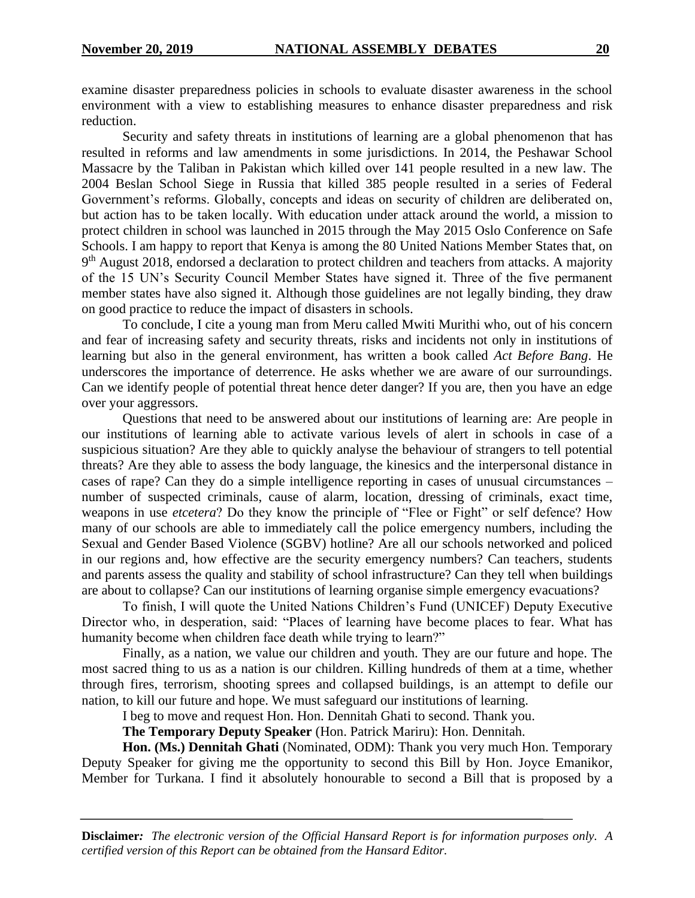examine disaster preparedness policies in schools to evaluate disaster awareness in the school environment with a view to establishing measures to enhance disaster preparedness and risk reduction.

Security and safety threats in institutions of learning are a global phenomenon that has resulted in reforms and law amendments in some jurisdictions. In 2014, the Peshawar School Massacre by the Taliban in Pakistan which killed over 141 people resulted in a new law. The 2004 Beslan School Siege in Russia that killed 385 people resulted in a series of Federal Government's reforms. Globally, concepts and ideas on security of children are deliberated on, but action has to be taken locally. With education under attack around the world, a mission to protect children in school was launched in 2015 through the May 2015 Oslo Conference on Safe Schools. I am happy to report that Kenya is among the 80 United Nations Member States that, on 9<sup>th</sup> August 2018, endorsed a declaration to protect children and teachers from attacks. A majority of the 15 UN's Security Council Member States have signed it. Three of the five permanent member states have also signed it. Although those guidelines are not legally binding, they draw on good practice to reduce the impact of disasters in schools.

To conclude, I cite a young man from Meru called Mwiti Murithi who, out of his concern and fear of increasing safety and security threats, risks and incidents not only in institutions of learning but also in the general environment, has written a book called *Act Before Bang*. He underscores the importance of deterrence. He asks whether we are aware of our surroundings. Can we identify people of potential threat hence deter danger? If you are, then you have an edge over your aggressors.

Questions that need to be answered about our institutions of learning are: Are people in our institutions of learning able to activate various levels of alert in schools in case of a suspicious situation? Are they able to quickly analyse the behaviour of strangers to tell potential threats? Are they able to assess the body language, the kinesics and the interpersonal distance in cases of rape? Can they do a simple intelligence reporting in cases of unusual circumstances – number of suspected criminals, cause of alarm, location, dressing of criminals, exact time, weapons in use *etcetera*? Do they know the principle of "Flee or Fight" or self defence? How many of our schools are able to immediately call the police emergency numbers, including the Sexual and Gender Based Violence (SGBV) hotline? Are all our schools networked and policed in our regions and, how effective are the security emergency numbers? Can teachers, students and parents assess the quality and stability of school infrastructure? Can they tell when buildings are about to collapse? Can our institutions of learning organise simple emergency evacuations?

To finish, I will quote the United Nations Children's Fund (UNICEF) Deputy Executive Director who, in desperation, said: "Places of learning have become places to fear. What has humanity become when children face death while trying to learn?"

Finally, as a nation, we value our children and youth. They are our future and hope. The most sacred thing to us as a nation is our children. Killing hundreds of them at a time, whether through fires, terrorism, shooting sprees and collapsed buildings, is an attempt to defile our nation, to kill our future and hope. We must safeguard our institutions of learning.

I beg to move and request Hon. Hon. Dennitah Ghati to second. Thank you.

**The Temporary Deputy Speaker** (Hon. Patrick Mariru): Hon. Dennitah.

**Hon. (Ms.) Dennitah Ghati** (Nominated, ODM): Thank you very much Hon. Temporary Deputy Speaker for giving me the opportunity to second this Bill by Hon. Joyce Emanikor, Member for Turkana. I find it absolutely honourable to second a Bill that is proposed by a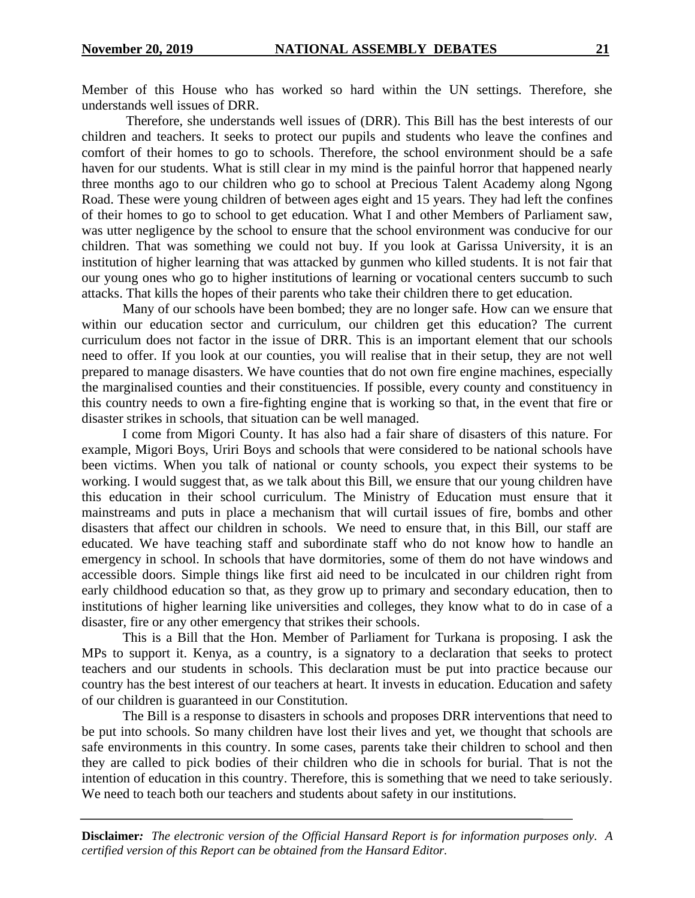Member of this House who has worked so hard within the UN settings. Therefore, she understands well issues of DRR.

Therefore, she understands well issues of (DRR). This Bill has the best interests of our children and teachers. It seeks to protect our pupils and students who leave the confines and comfort of their homes to go to schools. Therefore, the school environment should be a safe haven for our students. What is still clear in my mind is the painful horror that happened nearly three months ago to our children who go to school at Precious Talent Academy along Ngong Road. These were young children of between ages eight and 15 years. They had left the confines of their homes to go to school to get education. What I and other Members of Parliament saw, was utter negligence by the school to ensure that the school environment was conducive for our children. That was something we could not buy. If you look at Garissa University, it is an institution of higher learning that was attacked by gunmen who killed students. It is not fair that our young ones who go to higher institutions of learning or vocational centers succumb to such attacks. That kills the hopes of their parents who take their children there to get education.

Many of our schools have been bombed; they are no longer safe. How can we ensure that within our education sector and curriculum, our children get this education? The current curriculum does not factor in the issue of DRR. This is an important element that our schools need to offer. If you look at our counties, you will realise that in their setup, they are not well prepared to manage disasters. We have counties that do not own fire engine machines, especially the marginalised counties and their constituencies. If possible, every county and constituency in this country needs to own a fire-fighting engine that is working so that, in the event that fire or disaster strikes in schools, that situation can be well managed.

I come from Migori County. It has also had a fair share of disasters of this nature. For example, Migori Boys, Uriri Boys and schools that were considered to be national schools have been victims. When you talk of national or county schools, you expect their systems to be working. I would suggest that, as we talk about this Bill, we ensure that our young children have this education in their school curriculum. The Ministry of Education must ensure that it mainstreams and puts in place a mechanism that will curtail issues of fire, bombs and other disasters that affect our children in schools. We need to ensure that, in this Bill, our staff are educated. We have teaching staff and subordinate staff who do not know how to handle an emergency in school. In schools that have dormitories, some of them do not have windows and accessible doors. Simple things like first aid need to be inculcated in our children right from early childhood education so that, as they grow up to primary and secondary education, then to institutions of higher learning like universities and colleges, they know what to do in case of a disaster, fire or any other emergency that strikes their schools.

This is a Bill that the Hon. Member of Parliament for Turkana is proposing. I ask the MPs to support it. Kenya, as a country, is a signatory to a declaration that seeks to protect teachers and our students in schools. This declaration must be put into practice because our country has the best interest of our teachers at heart. It invests in education. Education and safety of our children is guaranteed in our Constitution.

The Bill is a response to disasters in schools and proposes DRR interventions that need to be put into schools. So many children have lost their lives and yet, we thought that schools are safe environments in this country. In some cases, parents take their children to school and then they are called to pick bodies of their children who die in schools for burial. That is not the intention of education in this country. Therefore, this is something that we need to take seriously. We need to teach both our teachers and students about safety in our institutions.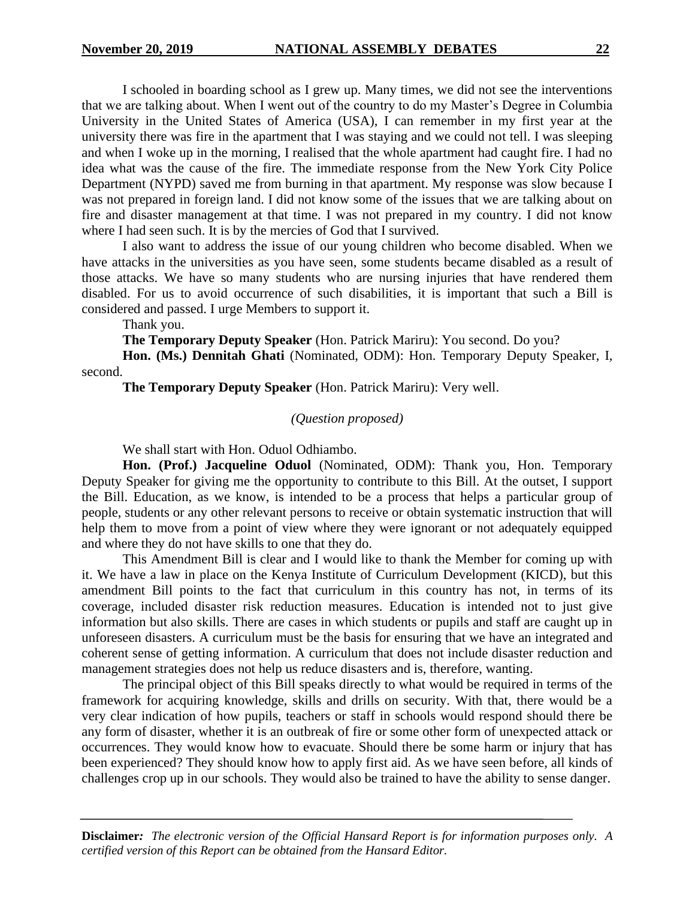I schooled in boarding school as I grew up. Many times, we did not see the interventions that we are talking about. When I went out of the country to do my Master's Degree in Columbia University in the United States of America (USA), I can remember in my first year at the university there was fire in the apartment that I was staying and we could not tell. I was sleeping and when I woke up in the morning, I realised that the whole apartment had caught fire. I had no idea what was the cause of the fire. The immediate response from the New York City Police Department (NYPD) saved me from burning in that apartment. My response was slow because I was not prepared in foreign land. I did not know some of the issues that we are talking about on fire and disaster management at that time. I was not prepared in my country. I did not know where I had seen such. It is by the mercies of God that I survived.

I also want to address the issue of our young children who become disabled. When we have attacks in the universities as you have seen, some students became disabled as a result of those attacks. We have so many students who are nursing injuries that have rendered them disabled. For us to avoid occurrence of such disabilities, it is important that such a Bill is considered and passed. I urge Members to support it.

Thank you.

**The Temporary Deputy Speaker** (Hon. Patrick Mariru): You second. Do you?

**Hon. (Ms.) Dennitah Ghati** (Nominated, ODM): Hon. Temporary Deputy Speaker, I, second.

**The Temporary Deputy Speaker** (Hon. Patrick Mariru): Very well.

#### *(Question proposed)*

We shall start with Hon. Oduol Odhiambo.

**Hon. (Prof.) Jacqueline Oduol** (Nominated, ODM): Thank you, Hon. Temporary Deputy Speaker for giving me the opportunity to contribute to this Bill. At the outset, I support the Bill. Education, as we know, is intended to be a process that helps a particular group of people, students or any other relevant persons to receive or obtain systematic instruction that will help them to move from a point of view where they were ignorant or not adequately equipped and where they do not have skills to one that they do.

This Amendment Bill is clear and I would like to thank the Member for coming up with it. We have a law in place on the Kenya Institute of Curriculum Development (KICD), but this amendment Bill points to the fact that curriculum in this country has not, in terms of its coverage, included disaster risk reduction measures. Education is intended not to just give information but also skills. There are cases in which students or pupils and staff are caught up in unforeseen disasters. A curriculum must be the basis for ensuring that we have an integrated and coherent sense of getting information. A curriculum that does not include disaster reduction and management strategies does not help us reduce disasters and is, therefore, wanting.

The principal object of this Bill speaks directly to what would be required in terms of the framework for acquiring knowledge, skills and drills on security. With that, there would be a very clear indication of how pupils, teachers or staff in schools would respond should there be any form of disaster, whether it is an outbreak of fire or some other form of unexpected attack or occurrences. They would know how to evacuate. Should there be some harm or injury that has been experienced? They should know how to apply first aid. As we have seen before, all kinds of challenges crop up in our schools. They would also be trained to have the ability to sense danger.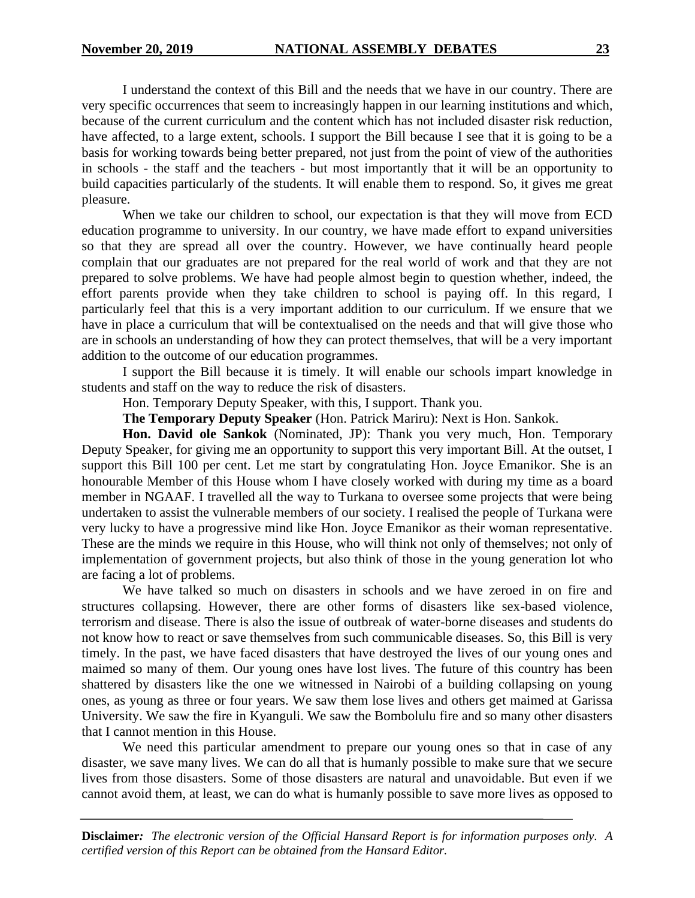I understand the context of this Bill and the needs that we have in our country. There are very specific occurrences that seem to increasingly happen in our learning institutions and which, because of the current curriculum and the content which has not included disaster risk reduction, have affected, to a large extent, schools. I support the Bill because I see that it is going to be a basis for working towards being better prepared, not just from the point of view of the authorities in schools - the staff and the teachers - but most importantly that it will be an opportunity to build capacities particularly of the students. It will enable them to respond. So, it gives me great pleasure.

When we take our children to school, our expectation is that they will move from ECD education programme to university. In our country, we have made effort to expand universities so that they are spread all over the country. However, we have continually heard people complain that our graduates are not prepared for the real world of work and that they are not prepared to solve problems. We have had people almost begin to question whether, indeed, the effort parents provide when they take children to school is paying off. In this regard, I particularly feel that this is a very important addition to our curriculum. If we ensure that we have in place a curriculum that will be contextualised on the needs and that will give those who are in schools an understanding of how they can protect themselves, that will be a very important addition to the outcome of our education programmes.

I support the Bill because it is timely. It will enable our schools impart knowledge in students and staff on the way to reduce the risk of disasters.

Hon. Temporary Deputy Speaker, with this, I support. Thank you.

**The Temporary Deputy Speaker** (Hon. Patrick Mariru): Next is Hon. Sankok.

**Hon. David ole Sankok** (Nominated, JP): Thank you very much, Hon. Temporary Deputy Speaker, for giving me an opportunity to support this very important Bill. At the outset, I support this Bill 100 per cent. Let me start by congratulating Hon. Joyce Emanikor. She is an honourable Member of this House whom I have closely worked with during my time as a board member in NGAAF. I travelled all the way to Turkana to oversee some projects that were being undertaken to assist the vulnerable members of our society. I realised the people of Turkana were very lucky to have a progressive mind like Hon. Joyce Emanikor as their woman representative. These are the minds we require in this House, who will think not only of themselves; not only of implementation of government projects, but also think of those in the young generation lot who are facing a lot of problems.

We have talked so much on disasters in schools and we have zeroed in on fire and structures collapsing. However, there are other forms of disasters like sex-based violence, terrorism and disease. There is also the issue of outbreak of water-borne diseases and students do not know how to react or save themselves from such communicable diseases. So, this Bill is very timely. In the past, we have faced disasters that have destroyed the lives of our young ones and maimed so many of them. Our young ones have lost lives. The future of this country has been shattered by disasters like the one we witnessed in Nairobi of a building collapsing on young ones, as young as three or four years. We saw them lose lives and others get maimed at Garissa University. We saw the fire in Kyanguli. We saw the Bombolulu fire and so many other disasters that I cannot mention in this House.

We need this particular amendment to prepare our young ones so that in case of any disaster, we save many lives. We can do all that is humanly possible to make sure that we secure lives from those disasters. Some of those disasters are natural and unavoidable. But even if we cannot avoid them, at least, we can do what is humanly possible to save more lives as opposed to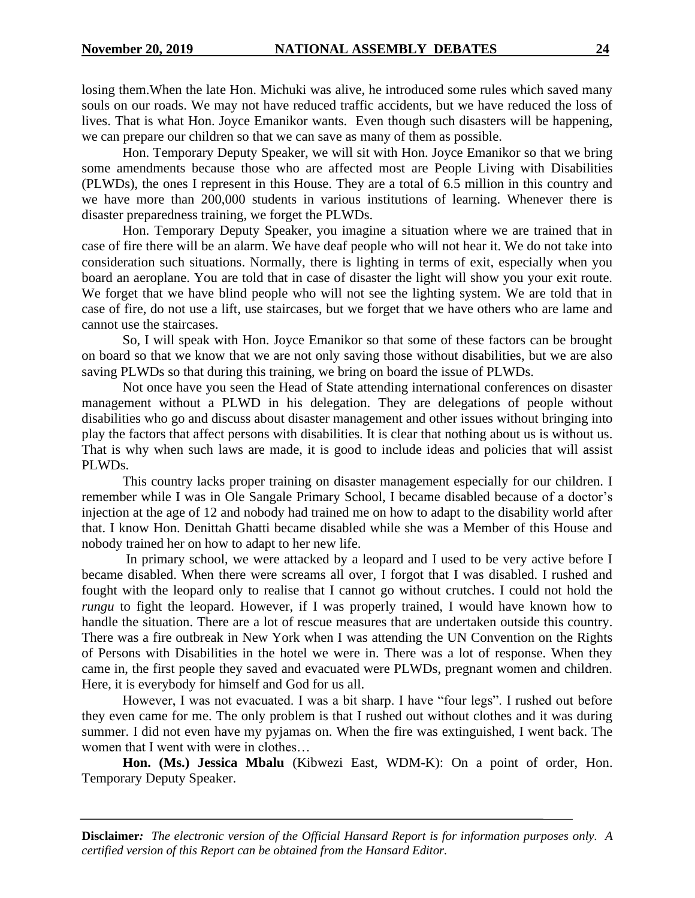losing them.When the late Hon. Michuki was alive, he introduced some rules which saved many souls on our roads. We may not have reduced traffic accidents, but we have reduced the loss of lives. That is what Hon. Joyce Emanikor wants. Even though such disasters will be happening, we can prepare our children so that we can save as many of them as possible.

Hon. Temporary Deputy Speaker, we will sit with Hon. Joyce Emanikor so that we bring some amendments because those who are affected most are People Living with Disabilities (PLWDs), the ones I represent in this House. They are a total of 6.5 million in this country and we have more than 200,000 students in various institutions of learning. Whenever there is disaster preparedness training, we forget the PLWDs.

Hon. Temporary Deputy Speaker, you imagine a situation where we are trained that in case of fire there will be an alarm. We have deaf people who will not hear it. We do not take into consideration such situations. Normally, there is lighting in terms of exit, especially when you board an aeroplane. You are told that in case of disaster the light will show you your exit route. We forget that we have blind people who will not see the lighting system. We are told that in case of fire, do not use a lift, use staircases, but we forget that we have others who are lame and cannot use the staircases.

So, I will speak with Hon. Joyce Emanikor so that some of these factors can be brought on board so that we know that we are not only saving those without disabilities, but we are also saving PLWDs so that during this training, we bring on board the issue of PLWDs.

Not once have you seen the Head of State attending international conferences on disaster management without a PLWD in his delegation. They are delegations of people without disabilities who go and discuss about disaster management and other issues without bringing into play the factors that affect persons with disabilities. It is clear that nothing about us is without us. That is why when such laws are made, it is good to include ideas and policies that will assist PLWDs.

This country lacks proper training on disaster management especially for our children. I remember while I was in Ole Sangale Primary School, I became disabled because of a doctor's injection at the age of 12 and nobody had trained me on how to adapt to the disability world after that. I know Hon. Denittah Ghatti became disabled while she was a Member of this House and nobody trained her on how to adapt to her new life.

In primary school, we were attacked by a leopard and I used to be very active before I became disabled. When there were screams all over, I forgot that I was disabled. I rushed and fought with the leopard only to realise that I cannot go without crutches. I could not hold the *rungu* to fight the leopard. However, if I was properly trained, I would have known how to handle the situation. There are a lot of rescue measures that are undertaken outside this country. There was a fire outbreak in New York when I was attending the UN Convention on the Rights of Persons with Disabilities in the hotel we were in. There was a lot of response. When they came in, the first people they saved and evacuated were PLWDs, pregnant women and children. Here, it is everybody for himself and God for us all.

However, I was not evacuated. I was a bit sharp. I have "four legs". I rushed out before they even came for me. The only problem is that I rushed out without clothes and it was during summer. I did not even have my pyjamas on. When the fire was extinguished, I went back. The women that I went with were in clothes…

**Hon. (Ms.) Jessica Mbalu** (Kibwezi East, WDM-K): On a point of order, Hon. Temporary Deputy Speaker.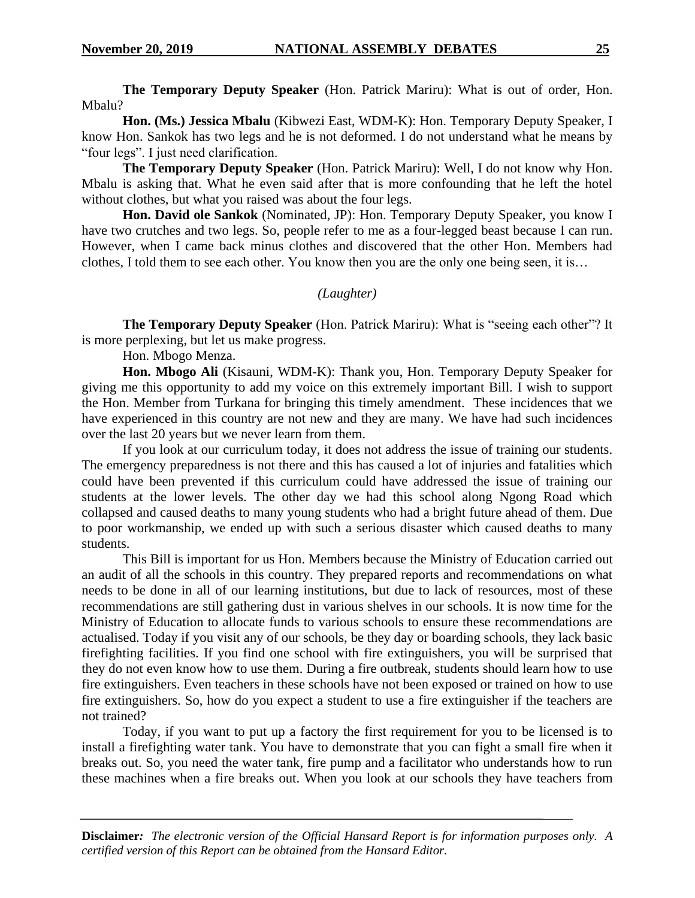**The Temporary Deputy Speaker** (Hon. Patrick Mariru): What is out of order, Hon. Mbalu?

**Hon. (Ms.) Jessica Mbalu** (Kibwezi East, WDM-K): Hon. Temporary Deputy Speaker, I know Hon. Sankok has two legs and he is not deformed. I do not understand what he means by "four legs". I just need clarification.

**The Temporary Deputy Speaker** (Hon. Patrick Mariru): Well, I do not know why Hon. Mbalu is asking that. What he even said after that is more confounding that he left the hotel without clothes, but what you raised was about the four legs.

**Hon. David ole Sankok** (Nominated, JP): Hon. Temporary Deputy Speaker, you know I have two crutches and two legs. So, people refer to me as a four-legged beast because I can run. However, when I came back minus clothes and discovered that the other Hon. Members had clothes, I told them to see each other. You know then you are the only one being seen, it is…

#### *(Laughter)*

**The Temporary Deputy Speaker** (Hon. Patrick Mariru): What is "seeing each other"? It is more perplexing, but let us make progress.

Hon. Mbogo Menza.

**Hon. Mbogo Ali** (Kisauni, WDM-K): Thank you, Hon. Temporary Deputy Speaker for giving me this opportunity to add my voice on this extremely important Bill. I wish to support the Hon. Member from Turkana for bringing this timely amendment. These incidences that we have experienced in this country are not new and they are many. We have had such incidences over the last 20 years but we never learn from them.

If you look at our curriculum today, it does not address the issue of training our students. The emergency preparedness is not there and this has caused a lot of injuries and fatalities which could have been prevented if this curriculum could have addressed the issue of training our students at the lower levels. The other day we had this school along Ngong Road which collapsed and caused deaths to many young students who had a bright future ahead of them. Due to poor workmanship, we ended up with such a serious disaster which caused deaths to many students.

This Bill is important for us Hon. Members because the Ministry of Education carried out an audit of all the schools in this country. They prepared reports and recommendations on what needs to be done in all of our learning institutions, but due to lack of resources, most of these recommendations are still gathering dust in various shelves in our schools. It is now time for the Ministry of Education to allocate funds to various schools to ensure these recommendations are actualised. Today if you visit any of our schools, be they day or boarding schools, they lack basic firefighting facilities. If you find one school with fire extinguishers, you will be surprised that they do not even know how to use them. During a fire outbreak, students should learn how to use fire extinguishers. Even teachers in these schools have not been exposed or trained on how to use fire extinguishers. So, how do you expect a student to use a fire extinguisher if the teachers are not trained?

Today, if you want to put up a factory the first requirement for you to be licensed is to install a firefighting water tank. You have to demonstrate that you can fight a small fire when it breaks out. So, you need the water tank, fire pump and a facilitator who understands how to run these machines when a fire breaks out. When you look at our schools they have teachers from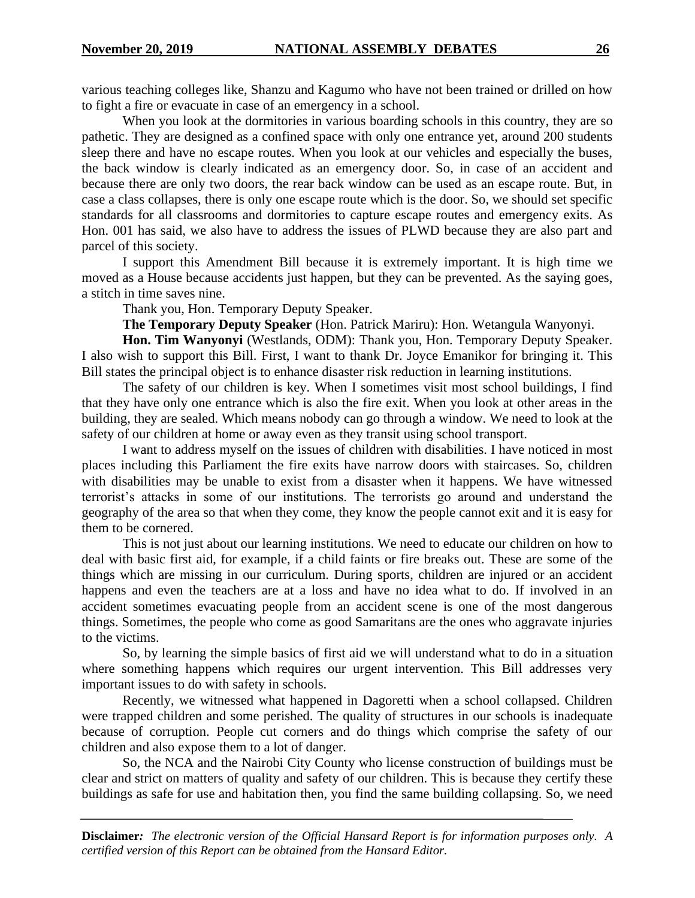various teaching colleges like, Shanzu and Kagumo who have not been trained or drilled on how to fight a fire or evacuate in case of an emergency in a school.

When you look at the dormitories in various boarding schools in this country, they are so pathetic. They are designed as a confined space with only one entrance yet, around 200 students sleep there and have no escape routes. When you look at our vehicles and especially the buses, the back window is clearly indicated as an emergency door. So, in case of an accident and because there are only two doors, the rear back window can be used as an escape route. But, in case a class collapses, there is only one escape route which is the door. So, we should set specific standards for all classrooms and dormitories to capture escape routes and emergency exits. As Hon. 001 has said, we also have to address the issues of PLWD because they are also part and parcel of this society.

I support this Amendment Bill because it is extremely important. It is high time we moved as a House because accidents just happen, but they can be prevented. As the saying goes, a stitch in time saves nine.

Thank you, Hon. Temporary Deputy Speaker.

**The Temporary Deputy Speaker** (Hon. Patrick Mariru): Hon. Wetangula Wanyonyi.

**Hon. Tim Wanyonyi** (Westlands, ODM): Thank you, Hon. Temporary Deputy Speaker. I also wish to support this Bill. First, I want to thank Dr. Joyce Emanikor for bringing it. This Bill states the principal object is to enhance disaster risk reduction in learning institutions.

The safety of our children is key. When I sometimes visit most school buildings, I find that they have only one entrance which is also the fire exit. When you look at other areas in the building, they are sealed. Which means nobody can go through a window. We need to look at the safety of our children at home or away even as they transit using school transport.

I want to address myself on the issues of children with disabilities. I have noticed in most places including this Parliament the fire exits have narrow doors with staircases. So, children with disabilities may be unable to exist from a disaster when it happens. We have witnessed terrorist's attacks in some of our institutions. The terrorists go around and understand the geography of the area so that when they come, they know the people cannot exit and it is easy for them to be cornered.

This is not just about our learning institutions. We need to educate our children on how to deal with basic first aid, for example, if a child faints or fire breaks out. These are some of the things which are missing in our curriculum. During sports, children are injured or an accident happens and even the teachers are at a loss and have no idea what to do. If involved in an accident sometimes evacuating people from an accident scene is one of the most dangerous things. Sometimes, the people who come as good Samaritans are the ones who aggravate injuries to the victims.

So, by learning the simple basics of first aid we will understand what to do in a situation where something happens which requires our urgent intervention. This Bill addresses very important issues to do with safety in schools.

Recently, we witnessed what happened in Dagoretti when a school collapsed. Children were trapped children and some perished. The quality of structures in our schools is inadequate because of corruption. People cut corners and do things which comprise the safety of our children and also expose them to a lot of danger.

So, the NCA and the Nairobi City County who license construction of buildings must be clear and strict on matters of quality and safety of our children. This is because they certify these buildings as safe for use and habitation then, you find the same building collapsing. So, we need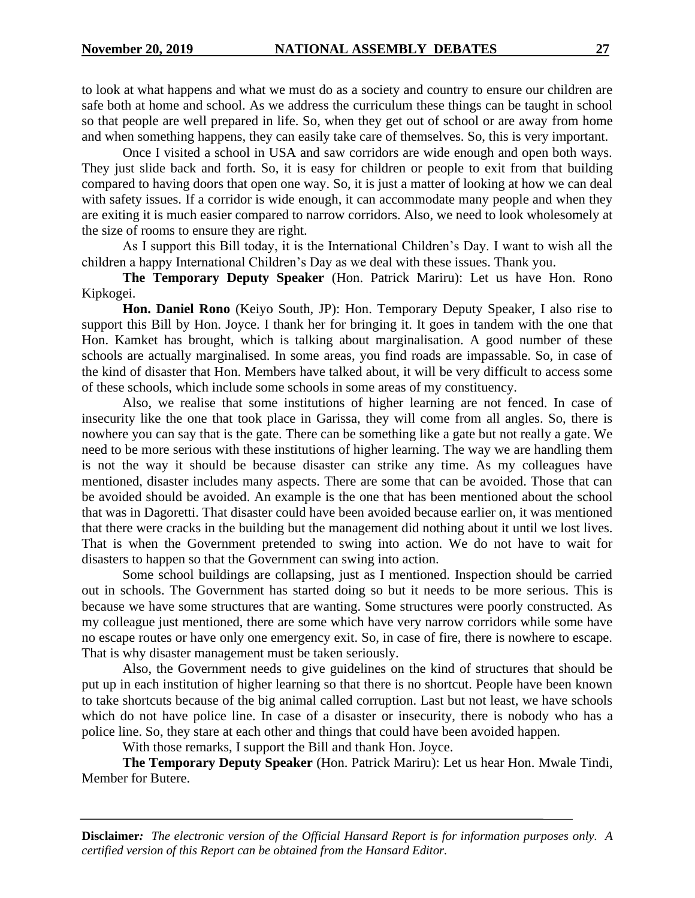to look at what happens and what we must do as a society and country to ensure our children are safe both at home and school. As we address the curriculum these things can be taught in school so that people are well prepared in life. So, when they get out of school or are away from home and when something happens, they can easily take care of themselves. So, this is very important.

Once I visited a school in USA and saw corridors are wide enough and open both ways. They just slide back and forth. So, it is easy for children or people to exit from that building compared to having doors that open one way. So, it is just a matter of looking at how we can deal with safety issues. If a corridor is wide enough, it can accommodate many people and when they are exiting it is much easier compared to narrow corridors. Also, we need to look wholesomely at the size of rooms to ensure they are right.

As I support this Bill today, it is the International Children's Day. I want to wish all the children a happy International Children's Day as we deal with these issues. Thank you.

**The Temporary Deputy Speaker** (Hon. Patrick Mariru): Let us have Hon. Rono Kipkogei.

**Hon. Daniel Rono** (Keiyo South, JP): Hon. Temporary Deputy Speaker, I also rise to support this Bill by Hon. Joyce. I thank her for bringing it. It goes in tandem with the one that Hon. Kamket has brought, which is talking about marginalisation. A good number of these schools are actually marginalised. In some areas, you find roads are impassable. So, in case of the kind of disaster that Hon. Members have talked about, it will be very difficult to access some of these schools, which include some schools in some areas of my constituency.

Also, we realise that some institutions of higher learning are not fenced. In case of insecurity like the one that took place in Garissa, they will come from all angles. So, there is nowhere you can say that is the gate. There can be something like a gate but not really a gate. We need to be more serious with these institutions of higher learning. The way we are handling them is not the way it should be because disaster can strike any time. As my colleagues have mentioned, disaster includes many aspects. There are some that can be avoided. Those that can be avoided should be avoided. An example is the one that has been mentioned about the school that was in Dagoretti. That disaster could have been avoided because earlier on, it was mentioned that there were cracks in the building but the management did nothing about it until we lost lives. That is when the Government pretended to swing into action. We do not have to wait for disasters to happen so that the Government can swing into action.

Some school buildings are collapsing, just as I mentioned. Inspection should be carried out in schools. The Government has started doing so but it needs to be more serious. This is because we have some structures that are wanting. Some structures were poorly constructed. As my colleague just mentioned, there are some which have very narrow corridors while some have no escape routes or have only one emergency exit. So, in case of fire, there is nowhere to escape. That is why disaster management must be taken seriously.

Also, the Government needs to give guidelines on the kind of structures that should be put up in each institution of higher learning so that there is no shortcut. People have been known to take shortcuts because of the big animal called corruption. Last but not least, we have schools which do not have police line. In case of a disaster or insecurity, there is nobody who has a police line. So, they stare at each other and things that could have been avoided happen.

With those remarks, I support the Bill and thank Hon. Joyce.

**The Temporary Deputy Speaker** (Hon. Patrick Mariru): Let us hear Hon. Mwale Tindi, Member for Butere.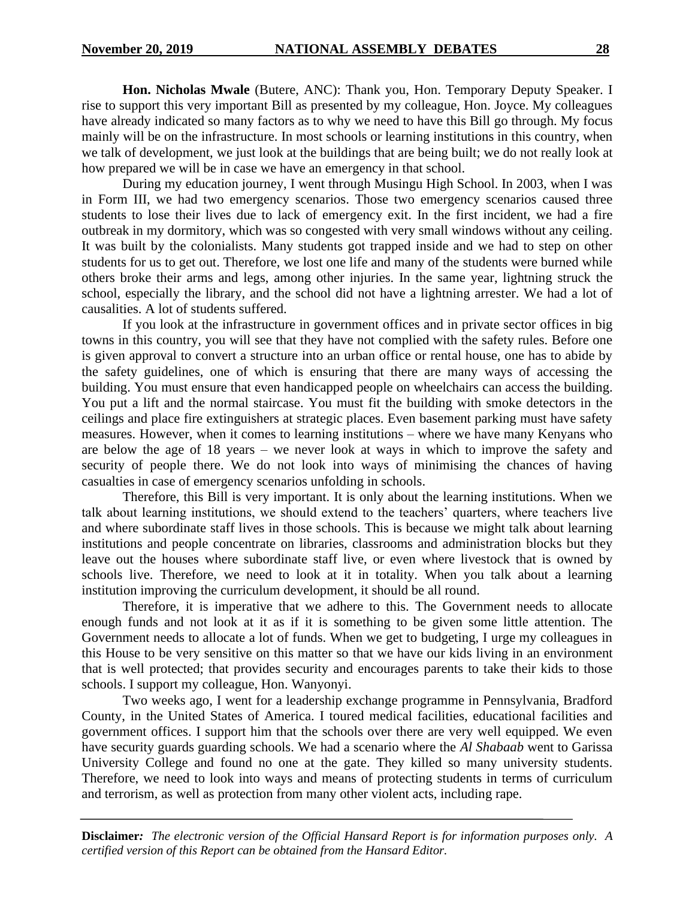**Hon. Nicholas Mwale** (Butere, ANC): Thank you, Hon. Temporary Deputy Speaker. I rise to support this very important Bill as presented by my colleague, Hon. Joyce. My colleagues have already indicated so many factors as to why we need to have this Bill go through. My focus mainly will be on the infrastructure. In most schools or learning institutions in this country, when we talk of development, we just look at the buildings that are being built; we do not really look at how prepared we will be in case we have an emergency in that school.

During my education journey, I went through Musingu High School. In 2003, when I was in Form III, we had two emergency scenarios. Those two emergency scenarios caused three students to lose their lives due to lack of emergency exit. In the first incident, we had a fire outbreak in my dormitory, which was so congested with very small windows without any ceiling. It was built by the colonialists. Many students got trapped inside and we had to step on other students for us to get out. Therefore, we lost one life and many of the students were burned while others broke their arms and legs, among other injuries. In the same year, lightning struck the school, especially the library, and the school did not have a lightning arrester. We had a lot of causalities. A lot of students suffered.

If you look at the infrastructure in government offices and in private sector offices in big towns in this country, you will see that they have not complied with the safety rules. Before one is given approval to convert a structure into an urban office or rental house, one has to abide by the safety guidelines, one of which is ensuring that there are many ways of accessing the building. You must ensure that even handicapped people on wheelchairs can access the building. You put a lift and the normal staircase. You must fit the building with smoke detectors in the ceilings and place fire extinguishers at strategic places. Even basement parking must have safety measures. However, when it comes to learning institutions – where we have many Kenyans who are below the age of 18 years – we never look at ways in which to improve the safety and security of people there. We do not look into ways of minimising the chances of having casualties in case of emergency scenarios unfolding in schools.

Therefore, this Bill is very important. It is only about the learning institutions. When we talk about learning institutions, we should extend to the teachers' quarters, where teachers live and where subordinate staff lives in those schools. This is because we might talk about learning institutions and people concentrate on libraries, classrooms and administration blocks but they leave out the houses where subordinate staff live, or even where livestock that is owned by schools live. Therefore, we need to look at it in totality. When you talk about a learning institution improving the curriculum development, it should be all round.

Therefore, it is imperative that we adhere to this. The Government needs to allocate enough funds and not look at it as if it is something to be given some little attention. The Government needs to allocate a lot of funds. When we get to budgeting, I urge my colleagues in this House to be very sensitive on this matter so that we have our kids living in an environment that is well protected; that provides security and encourages parents to take their kids to those schools. I support my colleague, Hon. Wanyonyi.

Two weeks ago, I went for a leadership exchange programme in Pennsylvania, Bradford County, in the United States of America. I toured medical facilities, educational facilities and government offices. I support him that the schools over there are very well equipped. We even have security guards guarding schools. We had a scenario where the *Al Shabaab* went to Garissa University College and found no one at the gate. They killed so many university students. Therefore, we need to look into ways and means of protecting students in terms of curriculum and terrorism, as well as protection from many other violent acts, including rape.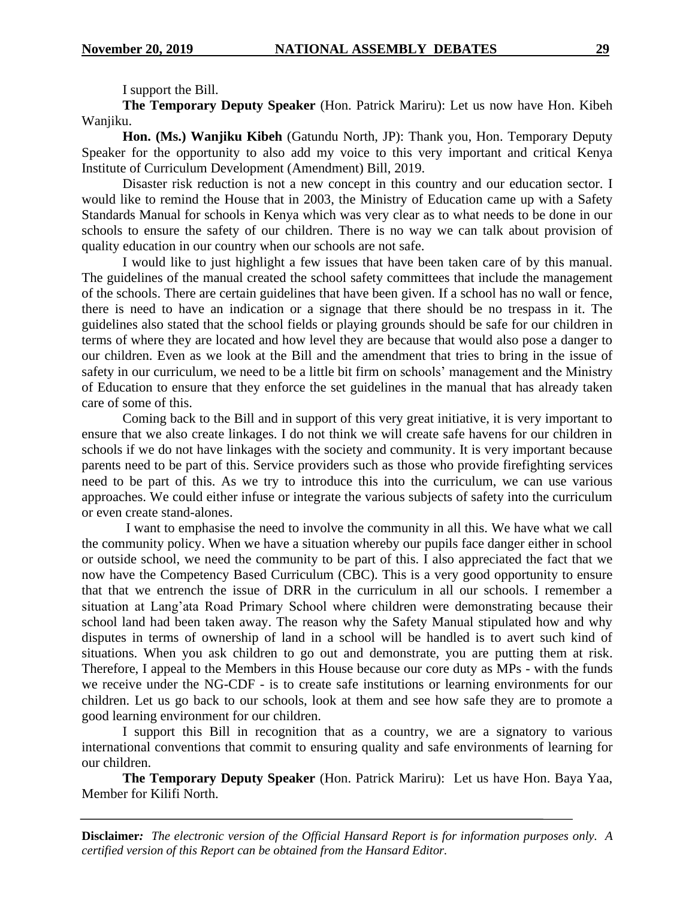I support the Bill.

**The Temporary Deputy Speaker** (Hon. Patrick Mariru): Let us now have Hon. Kibeh Wanjiku.

**Hon. (Ms.) Wanjiku Kibeh** (Gatundu North, JP): Thank you, Hon. Temporary Deputy Speaker for the opportunity to also add my voice to this very important and critical Kenya Institute of Curriculum Development (Amendment) Bill, 2019.

Disaster risk reduction is not a new concept in this country and our education sector. I would like to remind the House that in 2003, the Ministry of Education came up with a Safety Standards Manual for schools in Kenya which was very clear as to what needs to be done in our schools to ensure the safety of our children. There is no way we can talk about provision of quality education in our country when our schools are not safe.

I would like to just highlight a few issues that have been taken care of by this manual. The guidelines of the manual created the school safety committees that include the management of the schools. There are certain guidelines that have been given. If a school has no wall or fence, there is need to have an indication or a signage that there should be no trespass in it. The guidelines also stated that the school fields or playing grounds should be safe for our children in terms of where they are located and how level they are because that would also pose a danger to our children. Even as we look at the Bill and the amendment that tries to bring in the issue of safety in our curriculum, we need to be a little bit firm on schools' management and the Ministry of Education to ensure that they enforce the set guidelines in the manual that has already taken care of some of this.

Coming back to the Bill and in support of this very great initiative, it is very important to ensure that we also create linkages. I do not think we will create safe havens for our children in schools if we do not have linkages with the society and community. It is very important because parents need to be part of this. Service providers such as those who provide firefighting services need to be part of this. As we try to introduce this into the curriculum, we can use various approaches. We could either infuse or integrate the various subjects of safety into the curriculum or even create stand-alones.

I want to emphasise the need to involve the community in all this. We have what we call the community policy. When we have a situation whereby our pupils face danger either in school or outside school, we need the community to be part of this. I also appreciated the fact that we now have the Competency Based Curriculum (CBC). This is a very good opportunity to ensure that that we entrench the issue of DRR in the curriculum in all our schools. I remember a situation at Lang'ata Road Primary School where children were demonstrating because their school land had been taken away. The reason why the Safety Manual stipulated how and why disputes in terms of ownership of land in a school will be handled is to avert such kind of situations. When you ask children to go out and demonstrate, you are putting them at risk. Therefore, I appeal to the Members in this House because our core duty as MPs - with the funds we receive under the NG-CDF - is to create safe institutions or learning environments for our children. Let us go back to our schools, look at them and see how safe they are to promote a good learning environment for our children.

I support this Bill in recognition that as a country, we are a signatory to various international conventions that commit to ensuring quality and safe environments of learning for our children.

**The Temporary Deputy Speaker** (Hon. Patrick Mariru): Let us have Hon. Baya Yaa, Member for Kilifi North.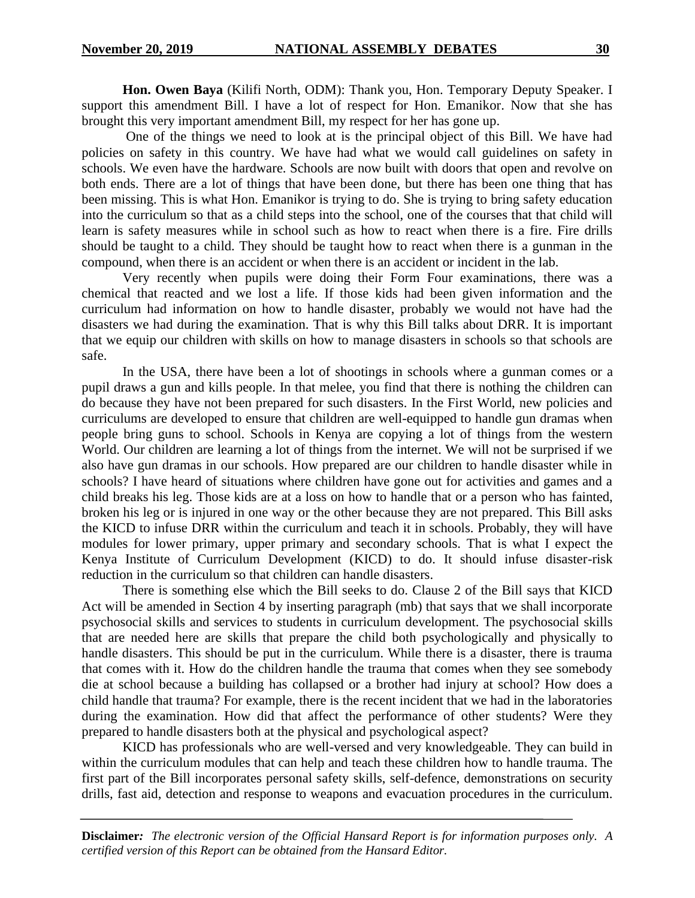**Hon. Owen Baya** (Kilifi North, ODM): Thank you, Hon. Temporary Deputy Speaker. I support this amendment Bill. I have a lot of respect for Hon. Emanikor. Now that she has brought this very important amendment Bill, my respect for her has gone up.

One of the things we need to look at is the principal object of this Bill. We have had policies on safety in this country. We have had what we would call guidelines on safety in schools. We even have the hardware. Schools are now built with doors that open and revolve on both ends. There are a lot of things that have been done, but there has been one thing that has been missing. This is what Hon. Emanikor is trying to do. She is trying to bring safety education into the curriculum so that as a child steps into the school, one of the courses that that child will learn is safety measures while in school such as how to react when there is a fire. Fire drills should be taught to a child. They should be taught how to react when there is a gunman in the compound, when there is an accident or when there is an accident or incident in the lab.

Very recently when pupils were doing their Form Four examinations, there was a chemical that reacted and we lost a life. If those kids had been given information and the curriculum had information on how to handle disaster, probably we would not have had the disasters we had during the examination. That is why this Bill talks about DRR. It is important that we equip our children with skills on how to manage disasters in schools so that schools are safe.

In the USA, there have been a lot of shootings in schools where a gunman comes or a pupil draws a gun and kills people. In that melee, you find that there is nothing the children can do because they have not been prepared for such disasters. In the First World, new policies and curriculums are developed to ensure that children are well-equipped to handle gun dramas when people bring guns to school. Schools in Kenya are copying a lot of things from the western World. Our children are learning a lot of things from the internet. We will not be surprised if we also have gun dramas in our schools. How prepared are our children to handle disaster while in schools? I have heard of situations where children have gone out for activities and games and a child breaks his leg. Those kids are at a loss on how to handle that or a person who has fainted, broken his leg or is injured in one way or the other because they are not prepared. This Bill asks the KICD to infuse DRR within the curriculum and teach it in schools. Probably, they will have modules for lower primary, upper primary and secondary schools. That is what I expect the Kenya Institute of Curriculum Development (KICD) to do. It should infuse disaster-risk reduction in the curriculum so that children can handle disasters.

There is something else which the Bill seeks to do. Clause 2 of the Bill says that KICD Act will be amended in Section 4 by inserting paragraph (mb) that says that we shall incorporate psychosocial skills and services to students in curriculum development. The psychosocial skills that are needed here are skills that prepare the child both psychologically and physically to handle disasters. This should be put in the curriculum. While there is a disaster, there is trauma that comes with it. How do the children handle the trauma that comes when they see somebody die at school because a building has collapsed or a brother had injury at school? How does a child handle that trauma? For example, there is the recent incident that we had in the laboratories during the examination. How did that affect the performance of other students? Were they prepared to handle disasters both at the physical and psychological aspect?

KICD has professionals who are well-versed and very knowledgeable. They can build in within the curriculum modules that can help and teach these children how to handle trauma. The first part of the Bill incorporates personal safety skills, self-defence, demonstrations on security drills, fast aid, detection and response to weapons and evacuation procedures in the curriculum.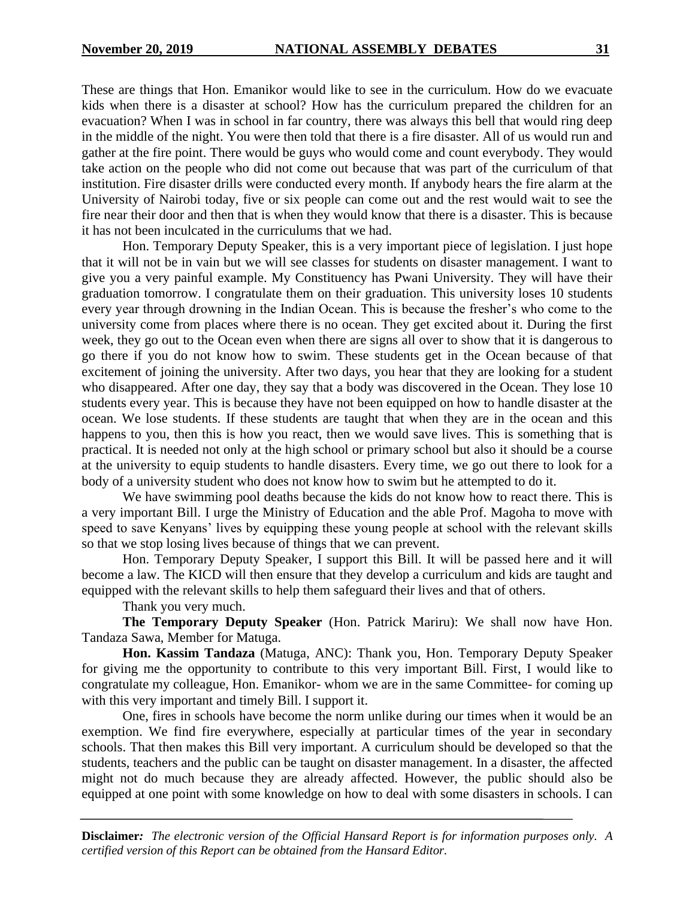These are things that Hon. Emanikor would like to see in the curriculum. How do we evacuate kids when there is a disaster at school? How has the curriculum prepared the children for an evacuation? When I was in school in far country, there was always this bell that would ring deep in the middle of the night. You were then told that there is a fire disaster. All of us would run and gather at the fire point. There would be guys who would come and count everybody. They would take action on the people who did not come out because that was part of the curriculum of that institution. Fire disaster drills were conducted every month. If anybody hears the fire alarm at the University of Nairobi today, five or six people can come out and the rest would wait to see the fire near their door and then that is when they would know that there is a disaster. This is because it has not been inculcated in the curriculums that we had.

Hon. Temporary Deputy Speaker, this is a very important piece of legislation. I just hope that it will not be in vain but we will see classes for students on disaster management. I want to give you a very painful example. My Constituency has Pwani University. They will have their graduation tomorrow. I congratulate them on their graduation. This university loses 10 students every year through drowning in the Indian Ocean. This is because the fresher's who come to the university come from places where there is no ocean. They get excited about it. During the first week, they go out to the Ocean even when there are signs all over to show that it is dangerous to go there if you do not know how to swim. These students get in the Ocean because of that excitement of joining the university. After two days, you hear that they are looking for a student who disappeared. After one day, they say that a body was discovered in the Ocean. They lose 10 students every year. This is because they have not been equipped on how to handle disaster at the ocean. We lose students. If these students are taught that when they are in the ocean and this happens to you, then this is how you react, then we would save lives. This is something that is practical. It is needed not only at the high school or primary school but also it should be a course at the university to equip students to handle disasters. Every time, we go out there to look for a body of a university student who does not know how to swim but he attempted to do it.

We have swimming pool deaths because the kids do not know how to react there. This is a very important Bill. I urge the Ministry of Education and the able Prof. Magoha to move with speed to save Kenyans' lives by equipping these young people at school with the relevant skills so that we stop losing lives because of things that we can prevent.

Hon. Temporary Deputy Speaker, I support this Bill. It will be passed here and it will become a law. The KICD will then ensure that they develop a curriculum and kids are taught and equipped with the relevant skills to help them safeguard their lives and that of others.

Thank you very much.

**The Temporary Deputy Speaker** (Hon. Patrick Mariru): We shall now have Hon. Tandaza Sawa, Member for Matuga.

**Hon. Kassim Tandaza** (Matuga, ANC): Thank you, Hon. Temporary Deputy Speaker for giving me the opportunity to contribute to this very important Bill. First, I would like to congratulate my colleague, Hon. Emanikor- whom we are in the same Committee- for coming up with this very important and timely Bill. I support it.

One, fires in schools have become the norm unlike during our times when it would be an exemption. We find fire everywhere, especially at particular times of the year in secondary schools. That then makes this Bill very important. A curriculum should be developed so that the students, teachers and the public can be taught on disaster management. In a disaster, the affected might not do much because they are already affected. However, the public should also be equipped at one point with some knowledge on how to deal with some disasters in schools. I can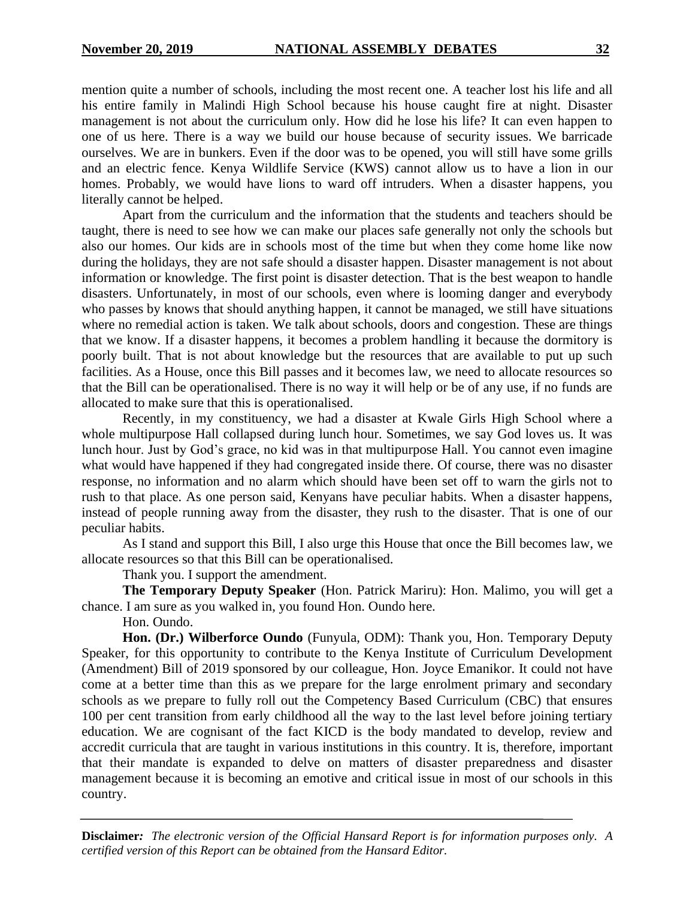mention quite a number of schools, including the most recent one. A teacher lost his life and all his entire family in Malindi High School because his house caught fire at night. Disaster management is not about the curriculum only. How did he lose his life? It can even happen to one of us here. There is a way we build our house because of security issues. We barricade ourselves. We are in bunkers. Even if the door was to be opened, you will still have some grills and an electric fence. Kenya Wildlife Service (KWS) cannot allow us to have a lion in our homes. Probably, we would have lions to ward off intruders. When a disaster happens, you literally cannot be helped.

Apart from the curriculum and the information that the students and teachers should be taught, there is need to see how we can make our places safe generally not only the schools but also our homes. Our kids are in schools most of the time but when they come home like now during the holidays, they are not safe should a disaster happen. Disaster management is not about information or knowledge. The first point is disaster detection. That is the best weapon to handle disasters. Unfortunately, in most of our schools, even where is looming danger and everybody who passes by knows that should anything happen, it cannot be managed, we still have situations where no remedial action is taken. We talk about schools, doors and congestion. These are things that we know. If a disaster happens, it becomes a problem handling it because the dormitory is poorly built. That is not about knowledge but the resources that are available to put up such facilities. As a House, once this Bill passes and it becomes law, we need to allocate resources so that the Bill can be operationalised. There is no way it will help or be of any use, if no funds are allocated to make sure that this is operationalised.

Recently, in my constituency, we had a disaster at Kwale Girls High School where a whole multipurpose Hall collapsed during lunch hour. Sometimes, we say God loves us. It was lunch hour. Just by God's grace, no kid was in that multipurpose Hall. You cannot even imagine what would have happened if they had congregated inside there. Of course, there was no disaster response, no information and no alarm which should have been set off to warn the girls not to rush to that place. As one person said, Kenyans have peculiar habits. When a disaster happens, instead of people running away from the disaster, they rush to the disaster. That is one of our peculiar habits.

As I stand and support this Bill, I also urge this House that once the Bill becomes law, we allocate resources so that this Bill can be operationalised.

Thank you. I support the amendment.

**The Temporary Deputy Speaker** (Hon. Patrick Mariru): Hon. Malimo, you will get a chance. I am sure as you walked in, you found Hon. Oundo here.

Hon. Oundo.

**Hon. (Dr.) Wilberforce Oundo** (Funyula, ODM): Thank you, Hon. Temporary Deputy Speaker, for this opportunity to contribute to the Kenya Institute of Curriculum Development (Amendment) Bill of 2019 sponsored by our colleague, Hon. Joyce Emanikor. It could not have come at a better time than this as we prepare for the large enrolment primary and secondary schools as we prepare to fully roll out the Competency Based Curriculum (CBC) that ensures 100 per cent transition from early childhood all the way to the last level before joining tertiary education. We are cognisant of the fact KICD is the body mandated to develop, review and accredit curricula that are taught in various institutions in this country. It is, therefore, important that their mandate is expanded to delve on matters of disaster preparedness and disaster management because it is becoming an emotive and critical issue in most of our schools in this country.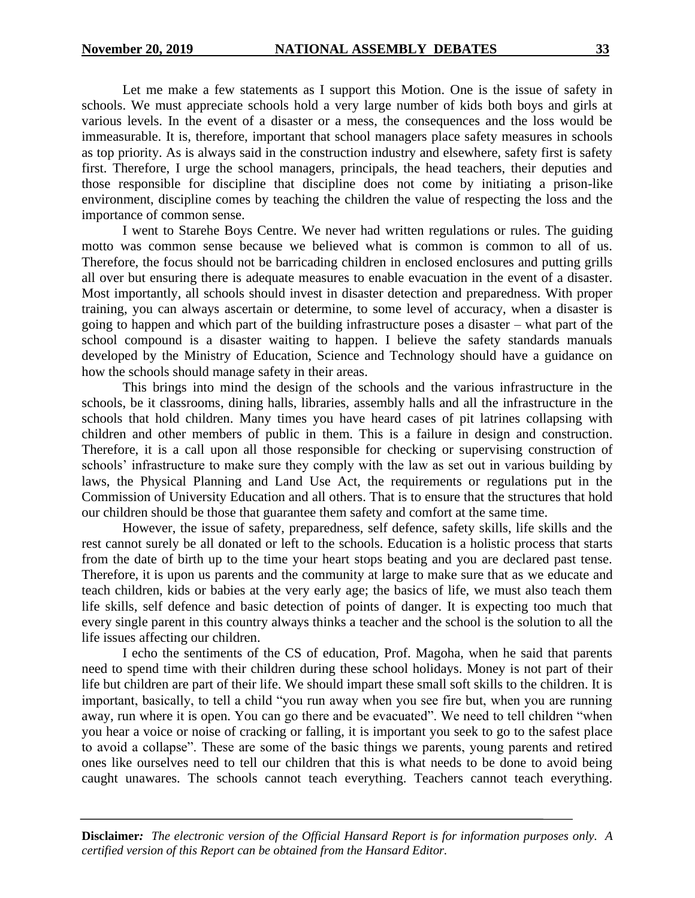Let me make a few statements as I support this Motion. One is the issue of safety in schools. We must appreciate schools hold a very large number of kids both boys and girls at various levels. In the event of a disaster or a mess, the consequences and the loss would be immeasurable. It is, therefore, important that school managers place safety measures in schools as top priority. As is always said in the construction industry and elsewhere, safety first is safety first. Therefore, I urge the school managers, principals, the head teachers, their deputies and those responsible for discipline that discipline does not come by initiating a prison-like environment, discipline comes by teaching the children the value of respecting the loss and the importance of common sense.

I went to Starehe Boys Centre. We never had written regulations or rules. The guiding motto was common sense because we believed what is common is common to all of us. Therefore, the focus should not be barricading children in enclosed enclosures and putting grills all over but ensuring there is adequate measures to enable evacuation in the event of a disaster. Most importantly, all schools should invest in disaster detection and preparedness. With proper training, you can always ascertain or determine, to some level of accuracy, when a disaster is going to happen and which part of the building infrastructure poses a disaster – what part of the school compound is a disaster waiting to happen. I believe the safety standards manuals developed by the Ministry of Education, Science and Technology should have a guidance on how the schools should manage safety in their areas.

This brings into mind the design of the schools and the various infrastructure in the schools, be it classrooms, dining halls, libraries, assembly halls and all the infrastructure in the schools that hold children. Many times you have heard cases of pit latrines collapsing with children and other members of public in them. This is a failure in design and construction. Therefore, it is a call upon all those responsible for checking or supervising construction of schools' infrastructure to make sure they comply with the law as set out in various building by laws, the Physical Planning and Land Use Act, the requirements or regulations put in the Commission of University Education and all others. That is to ensure that the structures that hold our children should be those that guarantee them safety and comfort at the same time.

However, the issue of safety, preparedness, self defence, safety skills, life skills and the rest cannot surely be all donated or left to the schools. Education is a holistic process that starts from the date of birth up to the time your heart stops beating and you are declared past tense. Therefore, it is upon us parents and the community at large to make sure that as we educate and teach children, kids or babies at the very early age; the basics of life, we must also teach them life skills, self defence and basic detection of points of danger. It is expecting too much that every single parent in this country always thinks a teacher and the school is the solution to all the life issues affecting our children.

I echo the sentiments of the CS of education, Prof. Magoha, when he said that parents need to spend time with their children during these school holidays. Money is not part of their life but children are part of their life. We should impart these small soft skills to the children. It is important, basically, to tell a child "you run away when you see fire but, when you are running away, run where it is open. You can go there and be evacuated". We need to tell children "when you hear a voice or noise of cracking or falling, it is important you seek to go to the safest place to avoid a collapse". These are some of the basic things we parents, young parents and retired ones like ourselves need to tell our children that this is what needs to be done to avoid being caught unawares. The schools cannot teach everything. Teachers cannot teach everything.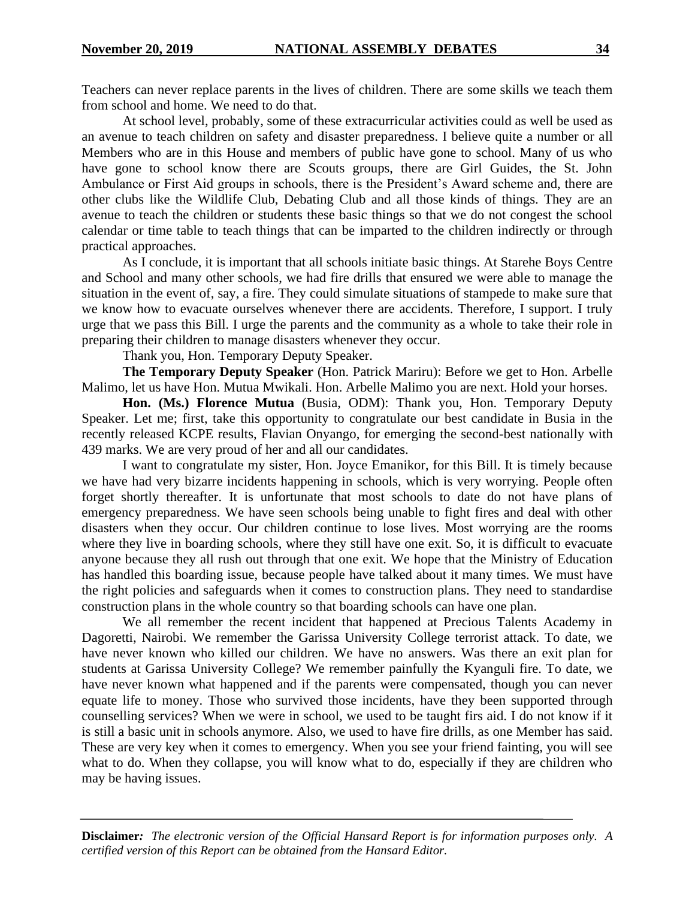Teachers can never replace parents in the lives of children. There are some skills we teach them from school and home. We need to do that.

At school level, probably, some of these extracurricular activities could as well be used as an avenue to teach children on safety and disaster preparedness. I believe quite a number or all Members who are in this House and members of public have gone to school. Many of us who have gone to school know there are Scouts groups, there are Girl Guides, the St. John Ambulance or First Aid groups in schools, there is the President's Award scheme and, there are other clubs like the Wildlife Club, Debating Club and all those kinds of things. They are an avenue to teach the children or students these basic things so that we do not congest the school calendar or time table to teach things that can be imparted to the children indirectly or through practical approaches.

As I conclude, it is important that all schools initiate basic things. At Starehe Boys Centre and School and many other schools, we had fire drills that ensured we were able to manage the situation in the event of, say, a fire. They could simulate situations of stampede to make sure that we know how to evacuate ourselves whenever there are accidents. Therefore, I support. I truly urge that we pass this Bill. I urge the parents and the community as a whole to take their role in preparing their children to manage disasters whenever they occur.

Thank you, Hon. Temporary Deputy Speaker.

**The Temporary Deputy Speaker** (Hon. Patrick Mariru): Before we get to Hon. Arbelle Malimo, let us have Hon. Mutua Mwikali. Hon. Arbelle Malimo you are next. Hold your horses.

**Hon. (Ms.) Florence Mutua** (Busia, ODM): Thank you, Hon. Temporary Deputy Speaker. Let me; first, take this opportunity to congratulate our best candidate in Busia in the recently released KCPE results, Flavian Onyango, for emerging the second-best nationally with 439 marks. We are very proud of her and all our candidates.

I want to congratulate my sister, Hon. Joyce Emanikor, for this Bill. It is timely because we have had very bizarre incidents happening in schools, which is very worrying. People often forget shortly thereafter. It is unfortunate that most schools to date do not have plans of emergency preparedness. We have seen schools being unable to fight fires and deal with other disasters when they occur. Our children continue to lose lives. Most worrying are the rooms where they live in boarding schools, where they still have one exit. So, it is difficult to evacuate anyone because they all rush out through that one exit. We hope that the Ministry of Education has handled this boarding issue, because people have talked about it many times. We must have the right policies and safeguards when it comes to construction plans. They need to standardise construction plans in the whole country so that boarding schools can have one plan.

We all remember the recent incident that happened at Precious Talents Academy in Dagoretti, Nairobi. We remember the Garissa University College terrorist attack. To date, we have never known who killed our children. We have no answers. Was there an exit plan for students at Garissa University College? We remember painfully the Kyanguli fire. To date, we have never known what happened and if the parents were compensated, though you can never equate life to money. Those who survived those incidents, have they been supported through counselling services? When we were in school, we used to be taught firs aid. I do not know if it is still a basic unit in schools anymore. Also, we used to have fire drills, as one Member has said. These are very key when it comes to emergency. When you see your friend fainting, you will see what to do. When they collapse, you will know what to do, especially if they are children who may be having issues.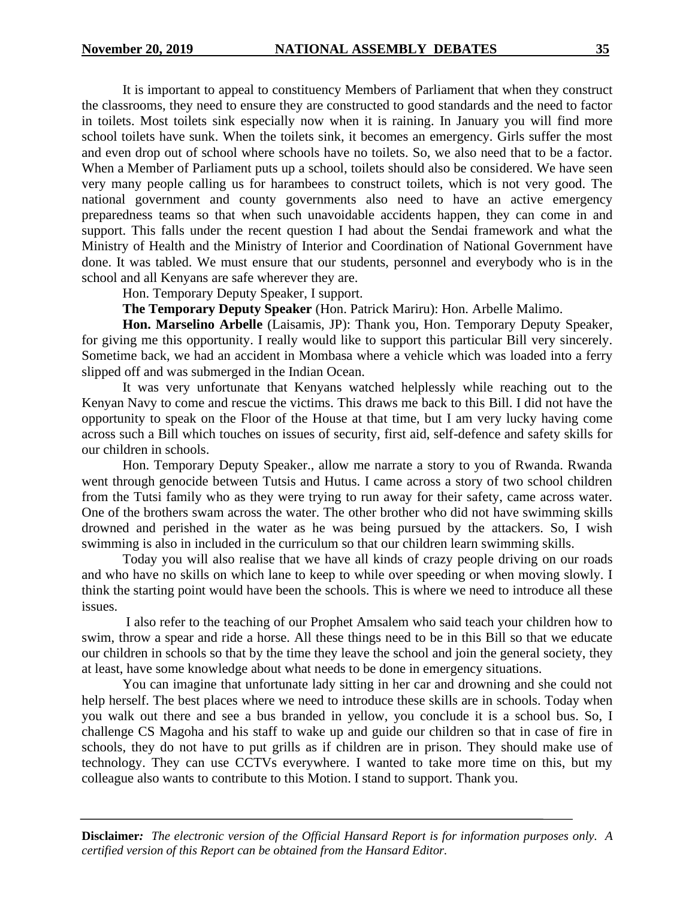It is important to appeal to constituency Members of Parliament that when they construct the classrooms, they need to ensure they are constructed to good standards and the need to factor in toilets. Most toilets sink especially now when it is raining. In January you will find more school toilets have sunk. When the toilets sink, it becomes an emergency. Girls suffer the most and even drop out of school where schools have no toilets. So, we also need that to be a factor. When a Member of Parliament puts up a school, toilets should also be considered. We have seen very many people calling us for harambees to construct toilets, which is not very good. The national government and county governments also need to have an active emergency preparedness teams so that when such unavoidable accidents happen, they can come in and support. This falls under the recent question I had about the Sendai framework and what the Ministry of Health and the Ministry of Interior and Coordination of National Government have done. It was tabled. We must ensure that our students, personnel and everybody who is in the school and all Kenyans are safe wherever they are.

Hon. Temporary Deputy Speaker, I support.

**The Temporary Deputy Speaker** (Hon. Patrick Mariru): Hon. Arbelle Malimo.

**Hon. Marselino Arbelle** (Laisamis, JP): Thank you, Hon. Temporary Deputy Speaker, for giving me this opportunity. I really would like to support this particular Bill very sincerely. Sometime back, we had an accident in Mombasa where a vehicle which was loaded into a ferry slipped off and was submerged in the Indian Ocean.

It was very unfortunate that Kenyans watched helplessly while reaching out to the Kenyan Navy to come and rescue the victims. This draws me back to this Bill. I did not have the opportunity to speak on the Floor of the House at that time, but I am very lucky having come across such a Bill which touches on issues of security, first aid, self-defence and safety skills for our children in schools.

Hon. Temporary Deputy Speaker., allow me narrate a story to you of Rwanda. Rwanda went through genocide between Tutsis and Hutus. I came across a story of two school children from the Tutsi family who as they were trying to run away for their safety, came across water. One of the brothers swam across the water. The other brother who did not have swimming skills drowned and perished in the water as he was being pursued by the attackers. So, I wish swimming is also in included in the curriculum so that our children learn swimming skills.

Today you will also realise that we have all kinds of crazy people driving on our roads and who have no skills on which lane to keep to while over speeding or when moving slowly. I think the starting point would have been the schools. This is where we need to introduce all these issues.

I also refer to the teaching of our Prophet Amsalem who said teach your children how to swim, throw a spear and ride a horse. All these things need to be in this Bill so that we educate our children in schools so that by the time they leave the school and join the general society, they at least, have some knowledge about what needs to be done in emergency situations.

You can imagine that unfortunate lady sitting in her car and drowning and she could not help herself. The best places where we need to introduce these skills are in schools. Today when you walk out there and see a bus branded in yellow, you conclude it is a school bus. So, I challenge CS Magoha and his staff to wake up and guide our children so that in case of fire in schools, they do not have to put grills as if children are in prison. They should make use of technology. They can use CCTVs everywhere. I wanted to take more time on this, but my colleague also wants to contribute to this Motion. I stand to support. Thank you.